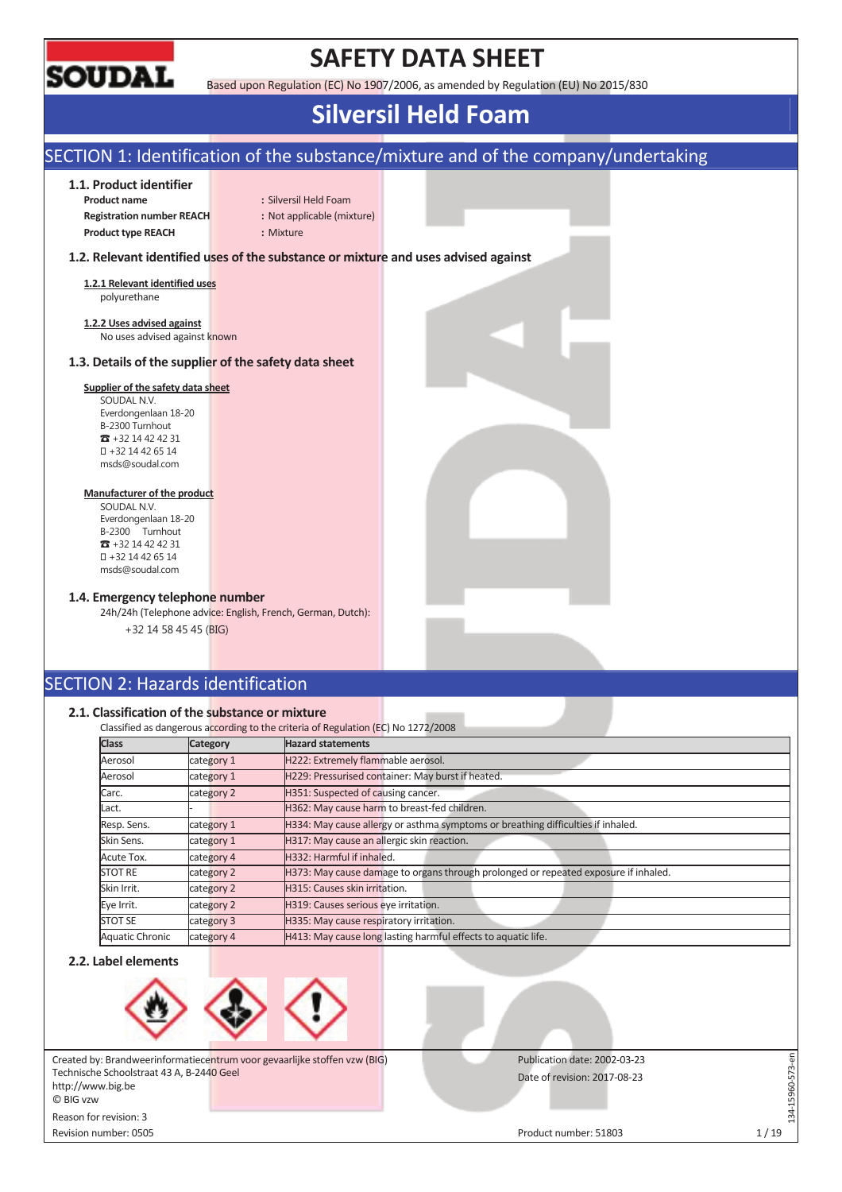

## **SAFETY DATA SHEET**

Based upon Regulation (EC) No 1907/2006, as amended by Regulation (EU) No 2015/830

## **Silversil Held Foam**

### SECTION 1: Identification of the substance/mixture and of the company/undertaking **1.1. Product identifier Product name** : Silversil Held Foam **Registration number REACH :** Not applicable (mixture) **Product type REACH :** Mixture **1.2. Relevant identified uses of the substance or mixture and uses advised against 1.2.1 Relevant identified uses**  polyurethane **1.2.2 Uses advised against**  No uses advised against known **1.3. Details of the supplier of the safety data sheet Supplier of the safety data sheet**  SOUDAL N.V. Everdongenlaan 18-20 B-2300 Turnhout  $\bullet$  +32 14 42 42 31 +32 14 42 65 14 msds@soudal.com **Manufacturer of the product**  SOUDAL N.V. Everdongenlaan 18-20 B-2300 Turnhout  $\bullet$  +32 14 42 42 31 +32 14 42 65 14 msds@soudal.com **1.4. Emergency telephone number**  24h/24h (Telephone advice: English, French, German, Dutch): +32 14 58 45 45 (BIG) SECTION 2: Hazards identification **2.1. Classification of the substance or mixture**  Classified as dangerous according to the criteria of Regulation (EC) No 1272/2008 **Class Category Hazard statements** Aerosol category 1 H222: Extremely flammable aerosol. Aerosol **category 1** H229: Pressurised container: May burst if heated. Carc. category 2 H351: Suspected of causing cancer.

| Aerosol                | category 1 | H229: Pressurised container: May burst if heated.                                   |
|------------------------|------------|-------------------------------------------------------------------------------------|
| Carc.                  | category 2 | H351: Suspected of causing cancer.                                                  |
| Lact.                  |            | H362: May cause harm to breast-fed children.                                        |
| Resp. Sens.            | category 1 | H334: May cause allergy or asthma symptoms or breathing difficulties if inhaled.    |
| Skin Sens.             | category 1 | H317: May cause an allergic skin reaction.                                          |
| Acute Tox.             | category 4 | H332: Harmful if inhaled.                                                           |
| <b>STOT RE</b>         | category 2 | H373: May cause damage to organs through prolonged or repeated exposure if inhaled. |
| Skin Irrit.            | category 2 | H315: Causes skin irritation.                                                       |
| Eye Irrit.             | category 2 | H319: Causes serious eye irritation.                                                |
| <b>STOT SE</b>         | category 3 | H335: May cause respiratory irritation.                                             |
| <b>Aquatic Chronic</b> | category 4 | H413: May cause long lasting harmful effects to aquatic life.                       |

#### **2.2. Label elements**



Created by: Brandweerinformatiecentrum voor gevaarlijke stoffen vzw (BIG) Technische Schoolstraat 43 A, B-2440 Geel http://www.big.be © BIG vzw Reason for revision: 3

Revision number: 0505 Product number: 51803 1 / 19

Publication date: 2002-03-23

Date of revision: 2017-08-23

134-15960-573-en

L34-15960-573-en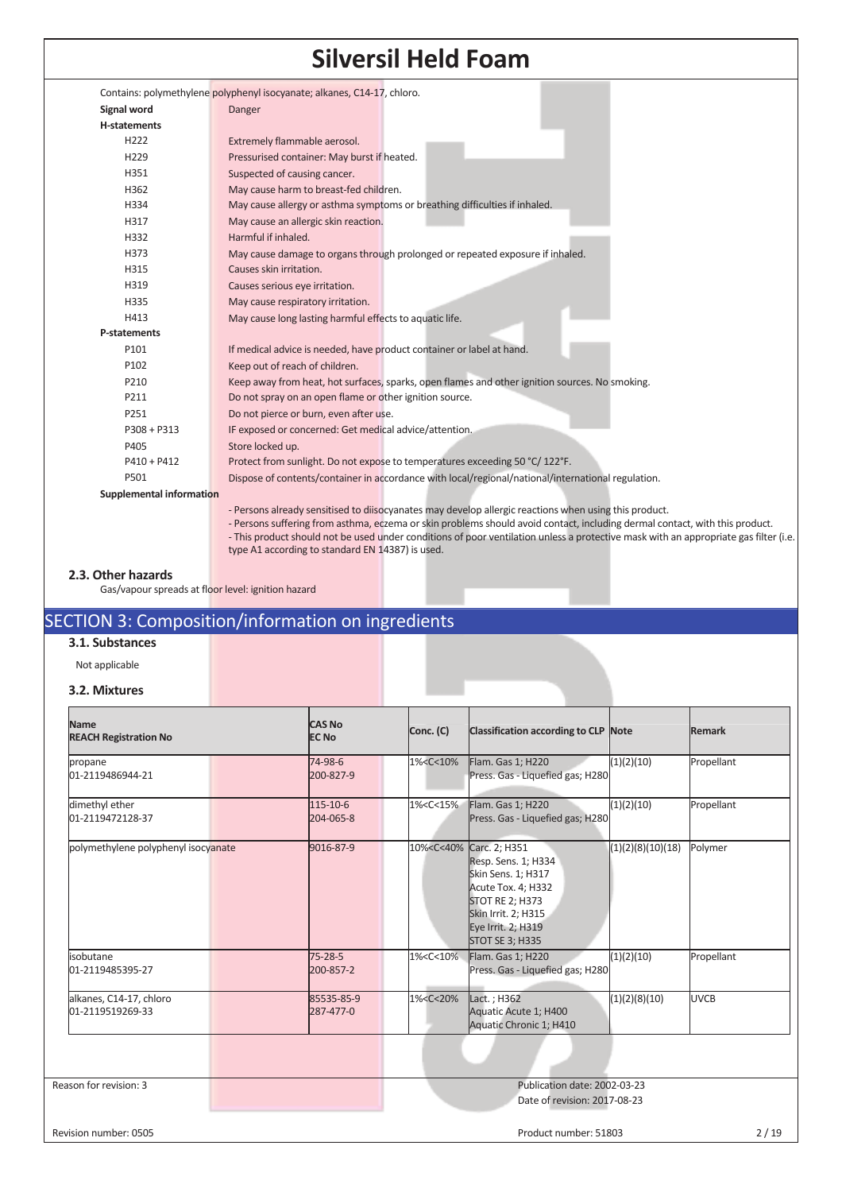|                          | Contains: polymethylene polyphenyl isocyanate; alkanes, C14-17, chloro.                                                                                                                                                                                            |
|--------------------------|--------------------------------------------------------------------------------------------------------------------------------------------------------------------------------------------------------------------------------------------------------------------|
| Signal word              | Danger                                                                                                                                                                                                                                                             |
| <b>H-statements</b>      |                                                                                                                                                                                                                                                                    |
| H222                     | Extremely flammable aerosol.                                                                                                                                                                                                                                       |
| H229                     | Pressurised container: May burst if heated.                                                                                                                                                                                                                        |
| H351                     | Suspected of causing cancer.                                                                                                                                                                                                                                       |
| H362                     | May cause harm to breast-fed children.                                                                                                                                                                                                                             |
| H334                     | May cause allergy or asthma symptoms or breathing difficulties if inhaled.                                                                                                                                                                                         |
| H317                     | May cause an allergic skin reaction.                                                                                                                                                                                                                               |
| H332                     | Harmful if inhaled.                                                                                                                                                                                                                                                |
| H373                     | May cause damage to organs through prolonged or repeated exposure if inhaled.                                                                                                                                                                                      |
| H315                     | Causes skin irritation.                                                                                                                                                                                                                                            |
| H319                     | Causes serious eye irritation.                                                                                                                                                                                                                                     |
| H335                     | May cause respiratory irritation.                                                                                                                                                                                                                                  |
| H413                     | May cause long lasting harmful effects to aquatic life.                                                                                                                                                                                                            |
| P-statements             |                                                                                                                                                                                                                                                                    |
| P101                     | If medical advice is needed, have product container or label at hand.                                                                                                                                                                                              |
| P102                     | Keep out of reach of children.                                                                                                                                                                                                                                     |
| P210                     | Keep away from heat, hot surfaces, sparks, open flames and other ignition sources. No smoking.                                                                                                                                                                     |
| P211                     | Do not spray on an open flame or other ignition source.                                                                                                                                                                                                            |
| P251                     | Do not pierce or burn, even after use.                                                                                                                                                                                                                             |
| $P308 + P313$            | IF exposed or concerned: Get medical advice/attention.                                                                                                                                                                                                             |
| P405                     | Store locked up.                                                                                                                                                                                                                                                   |
| $P410 + P412$            | Protect from sunlight. Do not expose to temperatures exceeding 50 °C/122°F.                                                                                                                                                                                        |
| P501                     | Dispose of contents/container in accordance with local/regional/national/international regulation.                                                                                                                                                                 |
| Supplemental information |                                                                                                                                                                                                                                                                    |
|                          | - Persons already sensitised to diisocyanates may develop allergic reactions when using this product.                                                                                                                                                              |
|                          | - Persons suffering from asthma, eczema or skin problems should avoid contact, including dermal contact, with this product.<br>-This product should not be used under conditions of poor ventilation unless a protective mask with an appropriate gas filter (i.e. |
|                          | type A1 according to standard EN 14387) is used.                                                                                                                                                                                                                   |
|                          |                                                                                                                                                                                                                                                                    |

#### **2.3. Other hazards**

Gas/vapour spreads at floor level: ignition hazard

## SECTION 3: Composition/information on ingredients

### **3.1. Substances**

Not applicable

#### **3.2. Mixtures**

| <b>Name</b><br><b>REACH Registration No</b> |  | <b>CAS No</b><br><b>EC No</b> | Conc. (C)                                                                                                                                       | Classification according to CLP Note                                                                                                                                                                                |                   | Remark      |
|---------------------------------------------|--|-------------------------------|-------------------------------------------------------------------------------------------------------------------------------------------------|---------------------------------------------------------------------------------------------------------------------------------------------------------------------------------------------------------------------|-------------------|-------------|
| propane<br>01-2119486944-21                 |  | 74-98-6<br>200-827-9          | 1% <c<10%< th=""><th>Flam. Gas 1; H220<br/>Press. Gas - Liquefied gas; H280</th><th>(1)(2)(10)</th><th>Propellant</th></c<10%<>                 | Flam. Gas 1; H220<br>Press. Gas - Liquefied gas; H280                                                                                                                                                               | (1)(2)(10)        | Propellant  |
| dimethyl ether<br>01-2119472128-37          |  | 115-10-6<br>204-065-8         | 1% <c<15%< td=""><td>Flam. Gas 1; H220<br/>Press. Gas - Liquefied gas; H280</td><td>(1)(2)(10)</td><td>Propellant</td></c<15%<>                 | Flam. Gas 1; H220<br>Press. Gas - Liquefied gas; H280                                                                                                                                                               | (1)(2)(10)        | Propellant  |
| polymethylene polyphenyl isocyanate         |  | 9016-87-9                     |                                                                                                                                                 | 10% <c<40% 2;="" carc.="" h351<br="">Resp. Sens. 1; H334<br/>Skin Sens. 1; H317<br/>Acute Tox. 4; H332<br/><b>STOT RE 2; H373</b><br/>Skin Irrit. 2; H315<br/>Eye Irrit. 2; H319<br/><b>STOT SE 3; H335</b></c<40%> | (1)(2)(8)(10)(18) | Polymer     |
| isobutane<br>01-2119485395-27               |  | 75-28-5<br>200-857-2          | 1% <c<10%< td=""><td>Flam. Gas 1; H220<br/>Press. Gas - Liquefied gas; H280</td><td>(1)(2)(10)</td><td>Propellant</td></c<10%<>                 | Flam. Gas 1; H220<br>Press. Gas - Liquefied gas; H280                                                                                                                                                               | (1)(2)(10)        | Propellant  |
| alkanes, C14-17, chloro<br>01-2119519269-33 |  | 85535-85-9<br>287-477-0       | 1% <c<20%< td=""><td>Lact. ; H362<br/>Aquatic Acute 1; H400<br/>Aquatic Chronic 1; H410</td><td>(1)(2)(8)(10)</td><td><b>UVCB</b></td></c<20%<> | Lact. ; H362<br>Aquatic Acute 1; H400<br>Aquatic Chronic 1; H410                                                                                                                                                    | (1)(2)(8)(10)     | <b>UVCB</b> |
|                                             |  |                               |                                                                                                                                                 |                                                                                                                                                                                                                     |                   |             |
| Reason for revision: 3                      |  |                               |                                                                                                                                                 | Publication date: 2002-03-23<br>Date of revision: 2017-08-23                                                                                                                                                        |                   |             |

Revision number: 0505 Product number: 51803 2 / 19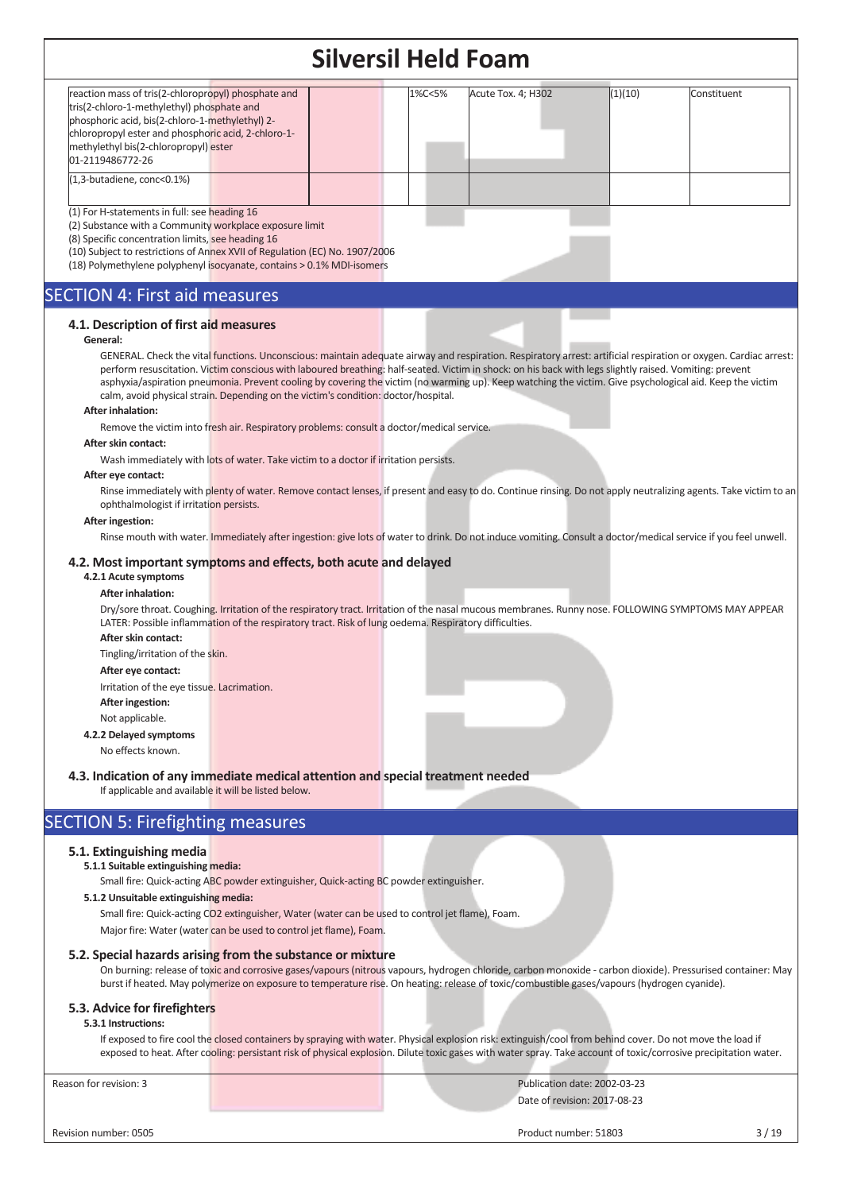|                                                                                                                                                                                                                                                                                                                                                                                                                                                                                                                                                                                                                                                                                                                                                                                                                                                                                                                                                                                                                                                                                                                                                                                                                                                           | SIIVEISII NEIU FOAIII |        |                       |                                                              |                                                                                                                                                                                                                                                                                                                                                                                                                                                                                                                                                                                                                                                              |
|-----------------------------------------------------------------------------------------------------------------------------------------------------------------------------------------------------------------------------------------------------------------------------------------------------------------------------------------------------------------------------------------------------------------------------------------------------------------------------------------------------------------------------------------------------------------------------------------------------------------------------------------------------------------------------------------------------------------------------------------------------------------------------------------------------------------------------------------------------------------------------------------------------------------------------------------------------------------------------------------------------------------------------------------------------------------------------------------------------------------------------------------------------------------------------------------------------------------------------------------------------------|-----------------------|--------|-----------------------|--------------------------------------------------------------|--------------------------------------------------------------------------------------------------------------------------------------------------------------------------------------------------------------------------------------------------------------------------------------------------------------------------------------------------------------------------------------------------------------------------------------------------------------------------------------------------------------------------------------------------------------------------------------------------------------------------------------------------------------|
| reaction mass of tris(2-chloropropyl) phosphate and<br>tris(2-chloro-1-methylethyl) phosphate and<br>phosphoric acid, bis(2-chloro-1-methylethyl) 2-<br>chloropropyl ester and phosphoric acid, 2-chloro-1-<br>methylethyl bis(2-chloropropyl) ester<br>01-2119486772-26                                                                                                                                                                                                                                                                                                                                                                                                                                                                                                                                                                                                                                                                                                                                                                                                                                                                                                                                                                                  |                       | 1%C<5% | Acute Tox. 4; H302    | (1)(10)                                                      | Constituent                                                                                                                                                                                                                                                                                                                                                                                                                                                                                                                                                                                                                                                  |
| (1,3-butadiene, conc<0.1%)                                                                                                                                                                                                                                                                                                                                                                                                                                                                                                                                                                                                                                                                                                                                                                                                                                                                                                                                                                                                                                                                                                                                                                                                                                |                       |        |                       |                                                              |                                                                                                                                                                                                                                                                                                                                                                                                                                                                                                                                                                                                                                                              |
| (1) For H-statements in full: see heading 16<br>(2) Substance with a Community workplace exposure limit<br>(8) Specific concentration limits, see heading 16<br>(10) Subject to restrictions of Annex XVII of Regulation (EC) No. 1907/2006<br>(18) Polymethylene polyphenyl isocyanate, contains > 0.1% MDI-isomers                                                                                                                                                                                                                                                                                                                                                                                                                                                                                                                                                                                                                                                                                                                                                                                                                                                                                                                                      |                       |        |                       |                                                              |                                                                                                                                                                                                                                                                                                                                                                                                                                                                                                                                                                                                                                                              |
| <b>SECTION 4: First aid measures</b>                                                                                                                                                                                                                                                                                                                                                                                                                                                                                                                                                                                                                                                                                                                                                                                                                                                                                                                                                                                                                                                                                                                                                                                                                      |                       |        |                       |                                                              |                                                                                                                                                                                                                                                                                                                                                                                                                                                                                                                                                                                                                                                              |
| 4.1. Description of first aid measures<br>General:<br>perform resuscitation. Victim conscious with laboured breathing: half-seated. Victim in shock: on his back with legs slightly raised. Vomiting: prevent<br>asphyxia/aspiration pneumonia. Prevent cooling by covering the victim (no warming up). Keep watching the victim. Give psychological aid. Keep the victim<br>calm, avoid physical strain. Depending on the victim's condition: doctor/hospital.<br><b>After inhalation:</b><br>Remove the victim into fresh air. Respiratory problems: consult a doctor/medical service.<br>After skin contact:<br>Wash immediately with lots of water. Take victim to a doctor if irritation persists.<br>After eye contact:<br>ophthalmologist if irritation persists.<br><b>After ingestion:</b><br>4.2. Most important symptoms and effects, both acute and delayed<br>4.2.1 Acute symptoms<br><b>After inhalation:</b><br>LATER: Possible inflammation of the respiratory tract. Risk of lung oedema. Respiratory difficulties.<br>After skin contact:<br>Tingling/irritation of the skin.<br>After eye contact:<br>Irritation of the eye tissue. Lacrimation.<br>After ingestion:<br>Not applicable.<br>4.2.2 Delayed symptoms<br>No effects known. |                       |        |                       |                                                              | GENERAL. Check the vital functions. Unconscious: maintain adequate airway and respiration. Respiratory arrest: artificial respiration or oxygen. Cardiac arrest:<br>Rinse immediately with plenty of water. Remove contact lenses, if present and easy to do. Continue rinsing. Do not apply neutralizing agents. Take victim to an<br>Rinse mouth with water. Immediately after ingestion: give lots of water to drink. Do not induce vomiting. Consult a doctor/medical service if you feel unwell.<br>Dry/sore throat. Coughing. Irritation of the respiratory tract. Irritation of the nasal mucous membranes. Runny nose. FOLLOWING SYMPTOMS MAY APPEAR |
| 4.3. Indication of any immediate medical attention and special treatment needed<br>If applicable and available it will be listed below.                                                                                                                                                                                                                                                                                                                                                                                                                                                                                                                                                                                                                                                                                                                                                                                                                                                                                                                                                                                                                                                                                                                   |                       |        |                       |                                                              |                                                                                                                                                                                                                                                                                                                                                                                                                                                                                                                                                                                                                                                              |
| <b>SECTION 5: Firefighting measures</b>                                                                                                                                                                                                                                                                                                                                                                                                                                                                                                                                                                                                                                                                                                                                                                                                                                                                                                                                                                                                                                                                                                                                                                                                                   |                       |        |                       |                                                              |                                                                                                                                                                                                                                                                                                                                                                                                                                                                                                                                                                                                                                                              |
| 5.1. Extinguishing media<br>5.1.1 Suitable extinguishing media:<br>Small fire: Quick-acting ABC powder extinguisher, Quick-acting BC powder extinguisher.<br>5.1.2 Unsuitable extinguishing media:<br>Small fire: Quick-acting CO2 extinguisher, Water (water can be used to control jet flame), Foam.<br>Major fire: Water (water can be used to control jet flame), Foam.                                                                                                                                                                                                                                                                                                                                                                                                                                                                                                                                                                                                                                                                                                                                                                                                                                                                               |                       |        |                       |                                                              |                                                                                                                                                                                                                                                                                                                                                                                                                                                                                                                                                                                                                                                              |
| 5.2. Special hazards arising from the substance or mixture<br>burst if heated. May polymerize on exposure to temperature rise. On heating: release of toxic/combustible gases/vapours (hydrogen cyanide).                                                                                                                                                                                                                                                                                                                                                                                                                                                                                                                                                                                                                                                                                                                                                                                                                                                                                                                                                                                                                                                 |                       |        |                       |                                                              | On burning: release of toxic and corrosive gases/vapours (nitrous vapours, hydrogen chloride, carbon monoxide - carbon dioxide). Pressurised container: May                                                                                                                                                                                                                                                                                                                                                                                                                                                                                                  |
| 5.3. Advice for firefighters<br>5.3.1 Instructions:<br>If exposed to fire cool the closed containers by spraying with water. Physical explosion risk: extinguish/cool from behind cover. Do not move the load if                                                                                                                                                                                                                                                                                                                                                                                                                                                                                                                                                                                                                                                                                                                                                                                                                                                                                                                                                                                                                                          |                       |        |                       |                                                              | exposed to heat. After cooling: persistant risk of physical explosion. Dilute toxic gases with water spray. Take account of toxic/corrosive precipitation water.                                                                                                                                                                                                                                                                                                                                                                                                                                                                                             |
| Reason for revision: 3                                                                                                                                                                                                                                                                                                                                                                                                                                                                                                                                                                                                                                                                                                                                                                                                                                                                                                                                                                                                                                                                                                                                                                                                                                    |                       |        |                       | Publication date: 2002-03-23<br>Date of revision: 2017-08-23 |                                                                                                                                                                                                                                                                                                                                                                                                                                                                                                                                                                                                                                                              |
| Revision number: 0505                                                                                                                                                                                                                                                                                                                                                                                                                                                                                                                                                                                                                                                                                                                                                                                                                                                                                                                                                                                                                                                                                                                                                                                                                                     |                       |        | Product number: 51803 |                                                              | 3/19                                                                                                                                                                                                                                                                                                                                                                                                                                                                                                                                                                                                                                                         |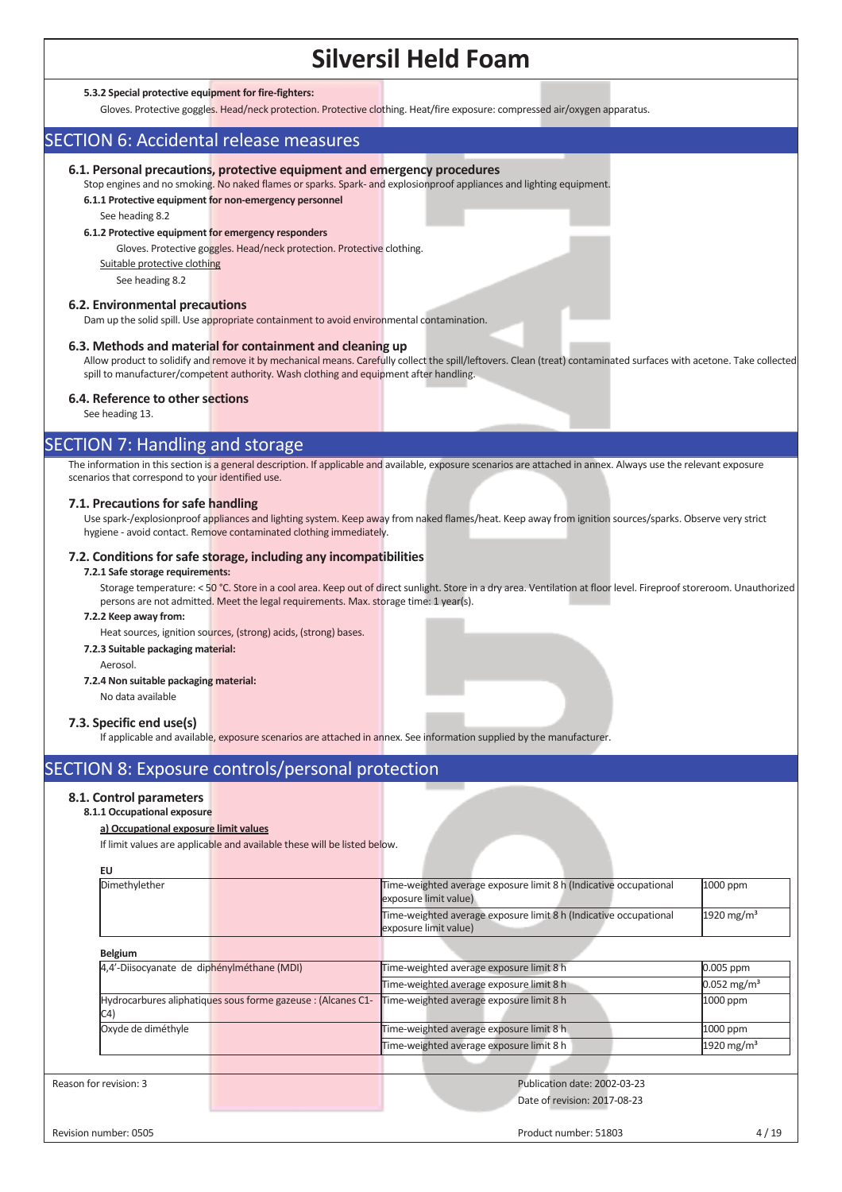#### **5.3.2 Special protective equipment for fire-fighters:**

Gloves. Protective goggles. Head/neck protection. Protective clothing. Heat/fire exposure: compressed air/oxygen apparatus.

### SECTION 6: Accidental release measures

#### **6.1. Personal precautions, protective equipment and emergency procedures**

Stop engines and no smoking. No naked flames or sparks. Spark- and explosionproof appliances and lighting equipment. **6.1.1 Protective equipment for non-emergency personnel** 

See heading 8.2

#### **6.1.2 Protective equipment for emergency responders**

Gloves. Protective goggles. Head/neck protection. Protective clothing.

Suitable protective clothing

See heading 8.2

#### **6.2. Environmental precautions**

Dam up the solid spill. Use appropriate containment to avoid environmental contamination.

#### **6.3. Methods and material for containment and cleaning up**

Allow product to solidify and remove it by mechanical means. Carefully collect the spill/leftovers. Clean (treat) contaminated surfaces with acetone. Take collected spill to manufacturer/competent authority. Wash clothing and equipment after handling.

#### **6.4. Reference to other sections**

See heading 13.

### SECTION 7: Handling and storage

The information in this section is a general description. If applicable and available, exposure scenarios are attached in annex. Always use the relevant exposure scenarios that correspond to your identified use.

#### **7.1. Precautions for safe handling**

Use spark-/explosionproof appliances and lighting system. Keep away from naked flames/heat. Keep away from ignition sources/sparks. Observe very strict hygiene - avoid contact. Remove contaminated clothing immediately.

#### **7.2. Conditions for safe storage, including any incompatibilities**

#### **7.2.1 Safe storage requirements:**

Storage temperature: < 50 °C. Store in a cool area. Keep out of direct sunlight. Store in a dry area. Ventilation at floor level. Fireproof storeroom. Unauthorized persons are not admitted. Meet the legal requirements. Max. storage time: 1 year(s).

#### **7.2.2 Keep away from:**

Heat sources, ignition sources, (strong) acids, (strong) bases.

#### **7.2.3 Suitable packaging material:**

Aerosol.

#### **7.2.4 Non suitable packaging material:**

No data available

#### **7.3. Specific end use(s)**

If applicable and available, exposure scenarios are attached in annex. See information supplied by the manufacturer

### SECTION 8: Exposure controls/personal protection

#### **8.1. Control parameters**

### **8.1.1 Occupational exposure**

#### **a) Occupational exposure limit values**

If limit values are applicable and available these will be listed below.

| EU                                                                  |                                                                                            |                           |
|---------------------------------------------------------------------|--------------------------------------------------------------------------------------------|---------------------------|
| Dimethylether                                                       | Time-weighted average exposure limit 8 h (Indicative occupational<br>exposure limit value) | 1000 ppm                  |
|                                                                     | Time-weighted average exposure limit 8 h (Indicative occupational<br>exposure limit value) | 1920 mg/m <sup>3</sup>    |
| <b>Belgium</b>                                                      |                                                                                            |                           |
| 4,4'-Diisocyanate de diphénylméthane (MDI)                          | Time-weighted average exposure limit 8 h                                                   | 0.005 ppm                 |
|                                                                     | Time-weighted average exposure limit 8 h                                                   | $0.052$ mg/m <sup>3</sup> |
| Hydrocarbures aliphatiques sous forme gazeuse : (Alcanes C1-<br>C4) | Time-weighted average exposure limit 8 h                                                   | 1000 ppm                  |
| Oxyde de diméthyle                                                  | Time-weighted average exposure limit 8 h                                                   | 1000 ppm                  |
|                                                                     | Time-weighted average exposure limit 8 h                                                   | 1920 mg/m <sup>3</sup>    |
|                                                                     |                                                                                            |                           |
| Reason for revision: 3                                              | Publication date: 2002-03-23                                                               |                           |
|                                                                     | Date of revision: 2017-08-23                                                               |                           |
| Revision number: 0505                                               | Product number: 51803                                                                      | 4/19                      |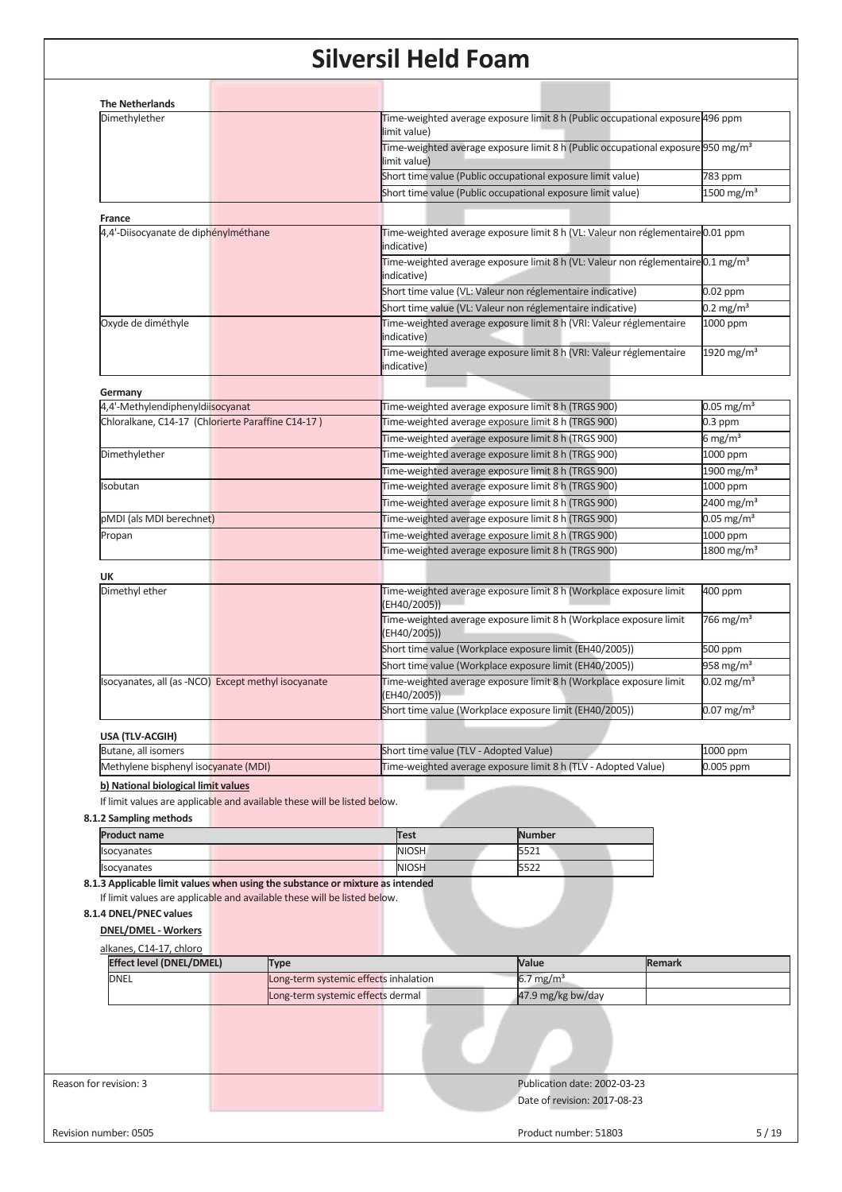| <b>The Netherlands</b><br>Dimethylether                                       |                                       |                                        | Time-weighted average exposure limit 8 h (Public occupational exposure 496 ppm                                                             |               |                                    |
|-------------------------------------------------------------------------------|---------------------------------------|----------------------------------------|--------------------------------------------------------------------------------------------------------------------------------------------|---------------|------------------------------------|
|                                                                               |                                       | limit value)                           | Time-weighted average exposure limit 8 h (Public occupational exposure 950 mg/m <sup>3</sup>                                               |               |                                    |
|                                                                               |                                       | limit value)                           |                                                                                                                                            |               |                                    |
|                                                                               |                                       |                                        | Short time value (Public occupational exposure limit value)                                                                                |               | 783 ppm                            |
|                                                                               |                                       |                                        | Short time value (Public occupational exposure limit value)                                                                                |               | $1500$ mg/m <sup>3</sup>           |
| <b>France</b>                                                                 |                                       |                                        |                                                                                                                                            |               |                                    |
| 4,4'-Diisocyanate de diphénylméthane                                          |                                       | indicative)                            | Time-weighted average exposure limit 8 h (VL: Valeur non réglementaire 0.01 ppm                                                            |               |                                    |
|                                                                               |                                       |                                        | Time-weighted average exposure limit 8 h (VL: Valeur non réglementaire 0.1 mg/m <sup>3</sup>                                               |               |                                    |
|                                                                               |                                       | indicative)                            |                                                                                                                                            |               |                                    |
|                                                                               |                                       |                                        | Short time value (VL: Valeur non réglementaire indicative)                                                                                 |               | 0.02 ppm                           |
|                                                                               |                                       |                                        | Short time value (VL: Valeur non réglementaire indicative)                                                                                 |               | $0.2 \text{ mg/m}^3$               |
| Oxyde de diméthyle                                                            |                                       | indicative)<br>indicative)             | Time-weighted average exposure limit 8 h (VRI: Valeur réglementaire<br>Time-weighted average exposure limit 8 h (VRI: Valeur réglementaire |               | 1000 ppm<br>1920 mg/m <sup>3</sup> |
|                                                                               |                                       |                                        |                                                                                                                                            |               |                                    |
| Germany                                                                       |                                       |                                        |                                                                                                                                            |               |                                    |
| 4,4'-Methylendiphenyldiisocyanat                                              |                                       |                                        | Time-weighted average exposure limit 8 h (TRGS 900)                                                                                        |               | $0.05$ mg/m <sup>3</sup>           |
| Chloralkane, C14-17 (Chlorierte Paraffine C14-17)                             |                                       |                                        | Time-weighted average exposure limit 8 h (TRGS 900)                                                                                        |               | $0.3$ ppm                          |
|                                                                               |                                       |                                        | Time-weighted average exposure limit 8 h (TRGS 900)                                                                                        |               | 6 mg/m <sup>3</sup>                |
| Dimethylether                                                                 |                                       |                                        | Time-weighted average exposure limit 8 h (TRGS 900)                                                                                        |               | 1000 ppm                           |
|                                                                               |                                       |                                        | Time-weighted average exposure limit 8 h (TRGS 900)                                                                                        |               | $1900$ mg/m <sup>3</sup>           |
| sobutan                                                                       |                                       |                                        | Time-weighted average exposure limit 8 h (TRGS 900)                                                                                        |               | 1000 ppm                           |
|                                                                               |                                       |                                        | Time-weighted average exposure limit 8 h (TRGS 900)                                                                                        |               | 2400 mg/m <sup>3</sup>             |
| pMDI (als MDI berechnet)                                                      |                                       |                                        | Time-weighted average exposure limit 8 h (TRGS 900)                                                                                        |               | $0.05$ mg/m <sup>3</sup>           |
| Propan                                                                        |                                       |                                        | Time-weighted average exposure limit 8 h (TRGS 900)                                                                                        |               | 1000 ppm                           |
|                                                                               |                                       |                                        | Time-weighted average exposure limit 8 h (TRGS 900)                                                                                        |               | 1800 mg/m <sup>3</sup>             |
| UK                                                                            |                                       |                                        |                                                                                                                                            |               |                                    |
| Dimethyl ether                                                                |                                       | (EH40/2005))                           | Time-weighted average exposure limit 8 h (Workplace exposure limit                                                                         |               | 400 ppm                            |
|                                                                               |                                       | (EH40/2005))                           | Time-weighted average exposure limit 8 h (Workplace exposure limit                                                                         |               | 766 mg/m <sup>3</sup>              |
|                                                                               |                                       |                                        | Short time value (Workplace exposure limit (EH40/2005))                                                                                    |               | 500 ppm                            |
|                                                                               |                                       |                                        | Short time value (Workplace exposure limit (EH40/2005))                                                                                    |               | 958 mg/m <sup>3</sup>              |
| socyanates, all (as -NCO) Except methyl isocyanate                            |                                       | (EH40/2005))                           | Time-weighted average exposure limit 8 h (Workplace exposure limit                                                                         |               | $0.02$ mg/m <sup>3</sup>           |
|                                                                               |                                       |                                        | Short time value (Workplace exposure limit (EH40/2005))                                                                                    |               | $0.07$ mg/m <sup>3</sup>           |
| USA (TLV-ACGIH)                                                               |                                       |                                        |                                                                                                                                            |               |                                    |
| Butane, all isomers                                                           |                                       | Short time value (TLV - Adopted Value) |                                                                                                                                            |               | 1000 ppm                           |
| Methylene bisphenyl isocyanate (MDI)                                          |                                       |                                        | Time-weighted average exposure limit 8 h (TLV - Adopted Value)                                                                             |               | 0.005 ppm                          |
| b) National biological limit values                                           |                                       |                                        |                                                                                                                                            |               |                                    |
| If limit values are applicable and available these will be listed below.      |                                       |                                        |                                                                                                                                            |               |                                    |
| 8.1.2 Sampling methods                                                        |                                       |                                        |                                                                                                                                            |               |                                    |
| <b>Product name</b>                                                           |                                       | Test                                   | <b>Number</b>                                                                                                                              |               |                                    |
| Isocyanates                                                                   |                                       | <b>NIOSH</b>                           | 5521                                                                                                                                       |               |                                    |
| Isocyanates                                                                   |                                       | <b>NIOSH</b>                           | 5522                                                                                                                                       |               |                                    |
| 8.1.3 Applicable limit values when using the substance or mixture as intended |                                       |                                        |                                                                                                                                            |               |                                    |
| If limit values are applicable and available these will be listed below.      |                                       |                                        |                                                                                                                                            |               |                                    |
| 8.1.4 DNEL/PNEC values                                                        |                                       |                                        |                                                                                                                                            |               |                                    |
| <b>DNEL/DMEL - Workers</b>                                                    |                                       |                                        |                                                                                                                                            |               |                                    |
| alkanes, C14-17, chloro                                                       |                                       |                                        |                                                                                                                                            |               |                                    |
| <b>Effect level (DNEL/DMEL)</b>                                               | Type                                  |                                        | Value                                                                                                                                      | <b>Remark</b> |                                    |
| <b>DNEL</b>                                                                   | Long-term systemic effects inhalation |                                        | 6.7 mg/m <sup>3</sup>                                                                                                                      |               |                                    |
|                                                                               | Long-term systemic effects dermal     |                                        | 47.9 mg/kg bw/day                                                                                                                          |               |                                    |
|                                                                               |                                       |                                        |                                                                                                                                            |               |                                    |
|                                                                               |                                       |                                        |                                                                                                                                            |               |                                    |
| Reason for revision: 3                                                        |                                       |                                        | Publication date: 2002-03-23                                                                                                               |               |                                    |
|                                                                               |                                       |                                        | Date of revision: 2017-08-23                                                                                                               |               |                                    |
|                                                                               |                                       |                                        |                                                                                                                                            |               |                                    |
|                                                                               |                                       |                                        |                                                                                                                                            |               |                                    |
| Revision number: 0505                                                         |                                       |                                        | Product number: 51803                                                                                                                      |               | 5/19                               |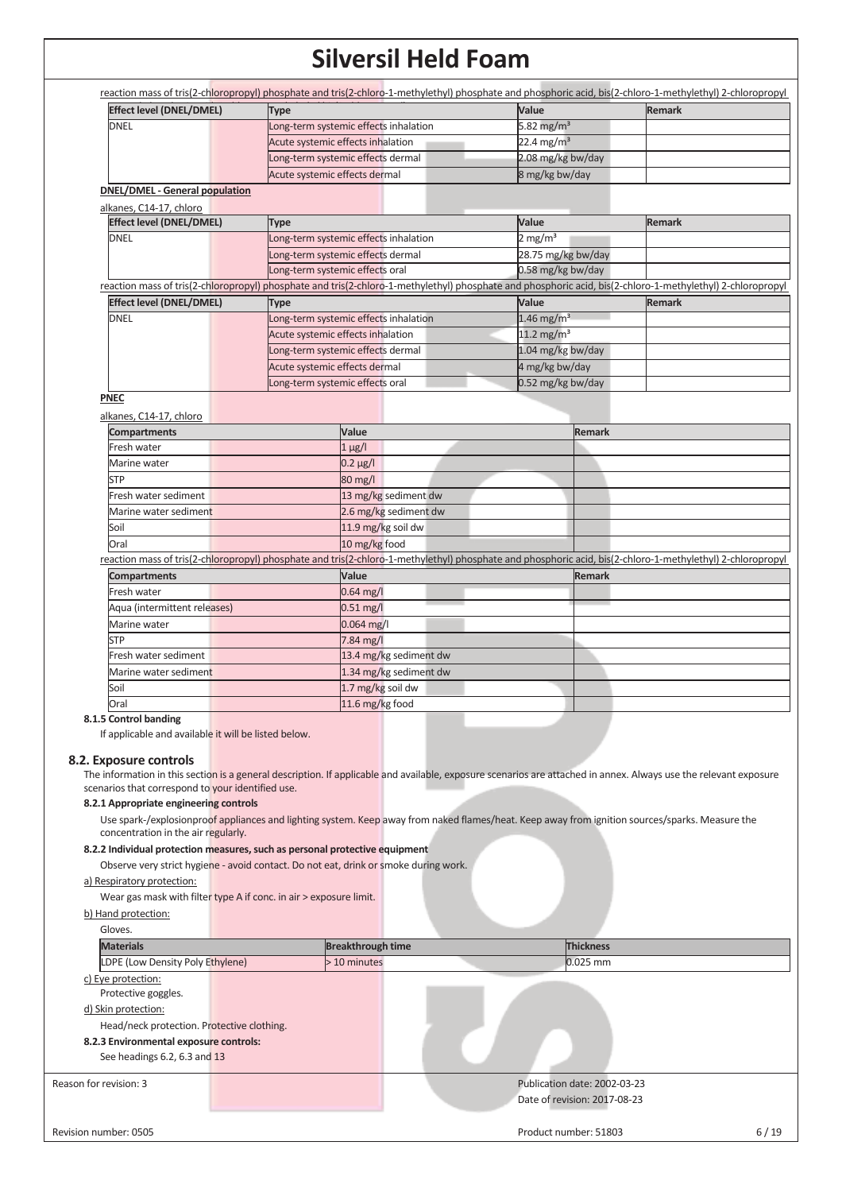| <b>Effect level (DNEL/DMEL)</b>                                    | <b>Type</b>                                                                                                                                                       | Value                    | <b>Remark</b> |
|--------------------------------------------------------------------|-------------------------------------------------------------------------------------------------------------------------------------------------------------------|--------------------------|---------------|
| <b>DNEL</b>                                                        | Long-term systemic effects inhalation                                                                                                                             | 5.82 mg/m <sup>3</sup>   |               |
|                                                                    | Acute systemic effects inhalation                                                                                                                                 | $22.4 \text{ mg/m}^3$    |               |
|                                                                    | Long-term systemic effects dermal                                                                                                                                 | 2.08 mg/kg bw/day        |               |
|                                                                    | Acute systemic effects dermal                                                                                                                                     | 8 mg/kg bw/day           |               |
| <b>DNEL/DMEL - General population</b>                              |                                                                                                                                                                   |                          |               |
| alkanes, C14-17, chloro                                            |                                                                                                                                                                   |                          |               |
| Effect level (DNEL/DMEL)                                           | <b>Type</b>                                                                                                                                                       | Value                    | <b>Remark</b> |
| <b>DNEL</b>                                                        | Long-term systemic effects inhalation                                                                                                                             | $2 \text{ mg/m}^3$       |               |
|                                                                    | Long-term systemic effects dermal                                                                                                                                 | 28.75 mg/kg bw/day       |               |
|                                                                    | Long-term systemic effects oral                                                                                                                                   | 0.58 mg/kg bw/day        |               |
|                                                                    | reaction mass of tris(2-chloropropyl) phosphate and tris(2-chloro-1-methylethyl) phosphate and phosphoric acid, bis(2-chloro-1-methylethyl) 2-chloropropyl        |                          |               |
| <b>Effect level (DNEL/DMEL)</b>                                    | <b>Type</b>                                                                                                                                                       | Value                    | <b>Remark</b> |
| <b>DNEL</b>                                                        | Long-term systemic effects inhalation                                                                                                                             | $1.46$ mg/m <sup>3</sup> |               |
|                                                                    | Acute systemic effects inhalation                                                                                                                                 | 11.2 mg/m <sup>3</sup>   |               |
|                                                                    | Long-term systemic effects dermal                                                                                                                                 | 1.04 mg/kg bw/day        |               |
|                                                                    | Acute systemic effects dermal                                                                                                                                     | 4 mg/kg bw/day           |               |
|                                                                    | Long-term systemic effects oral                                                                                                                                   | 0.52 mg/kg bw/day        |               |
| <b>PNEC</b>                                                        |                                                                                                                                                                   |                          |               |
| alkanes, C14-17, chloro                                            |                                                                                                                                                                   |                          |               |
| <b>Compartments</b>                                                | Value                                                                                                                                                             | Remark                   |               |
| Fresh water                                                        | $1 \mu g/l$                                                                                                                                                       |                          |               |
| Marine water                                                       | $0.2 \mu g/l$                                                                                                                                                     |                          |               |
| STP                                                                | 80 mg/l                                                                                                                                                           |                          |               |
| Fresh water sediment                                               | 13 mg/kg sediment dw                                                                                                                                              |                          |               |
| Marine water sediment                                              | 2.6 mg/kg sediment dw                                                                                                                                             |                          |               |
| Soil                                                               | 11.9 mg/kg soil dw                                                                                                                                                |                          |               |
| Oral                                                               | 10 mg/kg food                                                                                                                                                     |                          |               |
|                                                                    | reaction mass of tris(2-chloropropyl) phosphate and tris(2-chloro-1-methylethyl) phosphate and phosphoric acid, bis(2-chloro-1-methylethyl) 2-chloropropyl        |                          |               |
| <b>Compartments</b>                                                | Value                                                                                                                                                             | Remark                   |               |
| Fresh water                                                        | $0.64$ mg/l                                                                                                                                                       |                          |               |
| Aqua (intermittent releases)                                       | $0.51$ mg/l                                                                                                                                                       |                          |               |
| Marine water                                                       | 0.064 mg/l                                                                                                                                                        |                          |               |
| <b>STP</b>                                                         | 7.84 mg/l                                                                                                                                                         |                          |               |
| Fresh water sediment                                               | 13.4 mg/kg sediment dw                                                                                                                                            |                          |               |
| Marine water sediment                                              | 1.34 mg/kg sediment dw                                                                                                                                            |                          |               |
| Soil                                                               | 1.7 mg/kg soil dw                                                                                                                                                 |                          |               |
| Oral                                                               | 11.6 mg/kg food                                                                                                                                                   |                          |               |
| 8.1.5 Control banding                                              |                                                                                                                                                                   |                          |               |
| If applicable and available it will be listed below.               |                                                                                                                                                                   |                          |               |
| 8.2. Exposure controls                                             |                                                                                                                                                                   |                          |               |
|                                                                    | The information in this section is a general description. If applicable and available, exposure scenarios are attached in annex. Always use the relevant exposure |                          |               |
| scenarios that correspond to your identified use.                  |                                                                                                                                                                   |                          |               |
| 8.2.1 Appropriate engineering controls                             |                                                                                                                                                                   |                          |               |
|                                                                    | Use spark-/explosionproof appliances and lighting system. Keep away from naked flames/heat. Keep away from ignition sources/sparks. Measure the                   |                          |               |
| concentration in the air regularly.                                |                                                                                                                                                                   |                          |               |
|                                                                    | 8.2.2 Individual protection measures, such as personal protective equipment                                                                                       |                          |               |
|                                                                    | Observe very strict hygiene - avoid contact. Do not eat, drink or smoke during work.                                                                              |                          |               |
| a) Respiratory protection:                                         |                                                                                                                                                                   |                          |               |
| Wear gas mask with filter type A if conc. in air > exposure limit. |                                                                                                                                                                   |                          |               |
| b) Hand protection:                                                |                                                                                                                                                                   |                          |               |
| Gloves.                                                            |                                                                                                                                                                   |                          |               |
|                                                                    |                                                                                                                                                                   |                          |               |
| <b>Materials</b>                                                   | <b>Breakthrough time</b>                                                                                                                                          | <b>Thickness</b>         |               |

d) Skin protection:

Head/neck protection. Protective clothing.

### **8.2.3 Environmental exposure controls:**

See headings 6.2, 6.3 and 13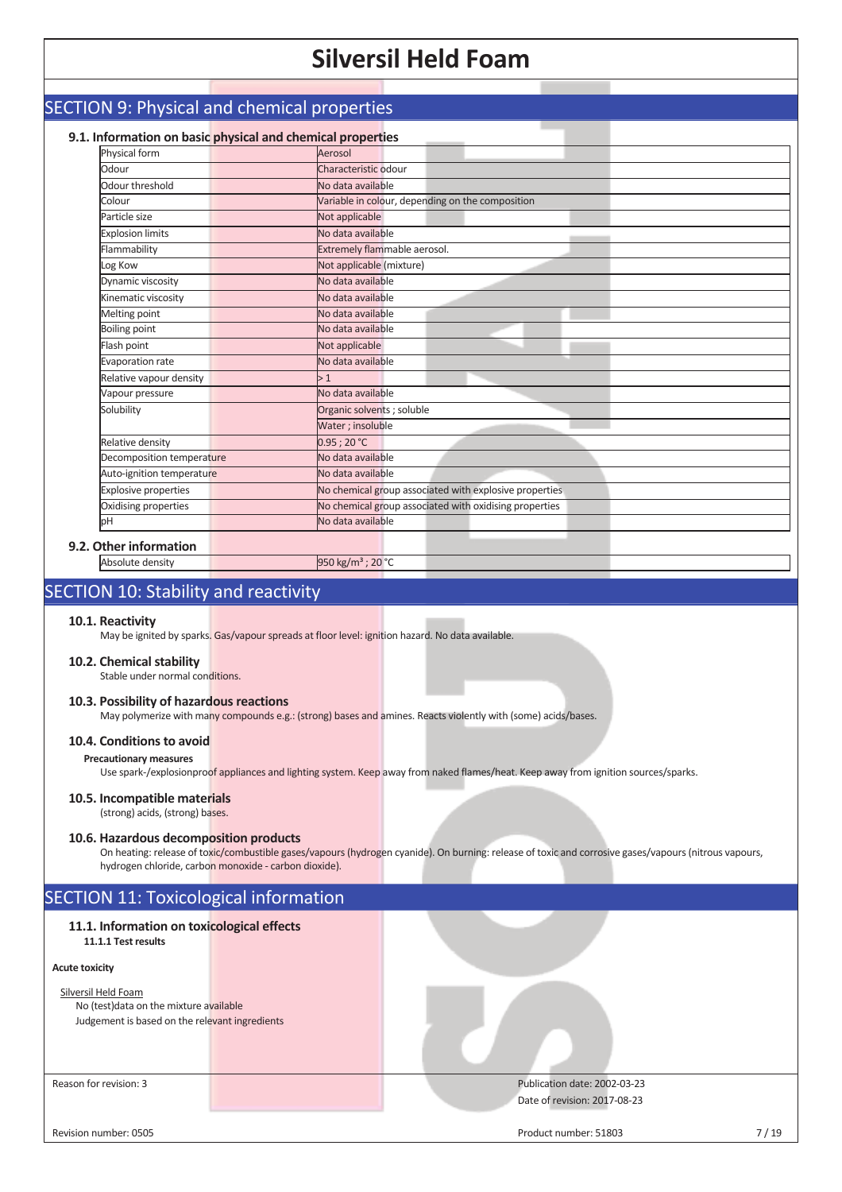### SECTION 9: Physical and chemical properties **9.1. Information on basic physical and chemical properties** Physical form **Aerosol** Odour Characteristic odour Odour threshold No data available Colour Colour Colour Colour Colour Colour, depending on the composition Particle size Not applicable Explosion limits No data available Flammability **Extremely flammable aerosol.** Log Kow Not applicable (mixture) Dynamic viscosity No data available Kinematic viscosity No data available **Melting point** No data available Boiling point **No data available** Flash point Not applicable Evaporation rate No data available Relative vapour density  $> 1$ Vapour pressure No data available Solubility **Contact Contact Contact Contact Contact Contact Contact Contact Contact Contact Contact Contact Contact Contact Contact Contact Contact Contact Contact Contact Contact Contact Contact Contact Contact Contact Co** Water ; insoluble Relative density and the contract of the contract of the Relative density Decomposition temperature No data available Auto-ignition temperature No data available Explosive properties No chemical group associated with explosive properties Oxidising properties No chemical group associated with oxidising properties pH No data available **9.2. Other information**

### Absolute density 950 kg/m<sup>3</sup> ; 20 °C

### SECTION 10: Stability and reactivity

#### **10.1. Reactivity**

May be ignited by sparks. Gas/vapour spreads at floor level: ignition hazard. No data available.

#### **10.2. Chemical stability**

Stable under normal conditions.

#### **10.3. Possibility of hazardous reactions**

May polymerize with many compounds e.g.: (strong) bases and amines. Reacts violently with (some) acids/bases.

#### **10.4. Conditions to avoid**

#### **Precautionary measures**

Use spark-/explosionproof appliances and lighting system. Keep away from naked flames/heat. Keep away from ignition sources/sparks.

#### **10.5. Incompatible materials**

#### (strong) acids, (strong) bases.

#### **10.6. Hazardous decomposition products**

On heating: release of toxic/combustible gases/vapours (hydrogen cyanide). On burning: release of toxic and corrosive gases/vapours (nitrous vapours, hydrogen chloride, carbon monoxide - carbon dioxide).

### SECTION 11: Toxicological information

### **11.1. Information on toxicological effects**

### **11.1.1 Test results**

### **Acute toxicity**

#### Silversil Held Foam

No (test)data on the mixture available Judgement is based on the relevant ingredients

Reason for revision: 3 Publication date: 2002-03-23 Date of revision: 2017-08-23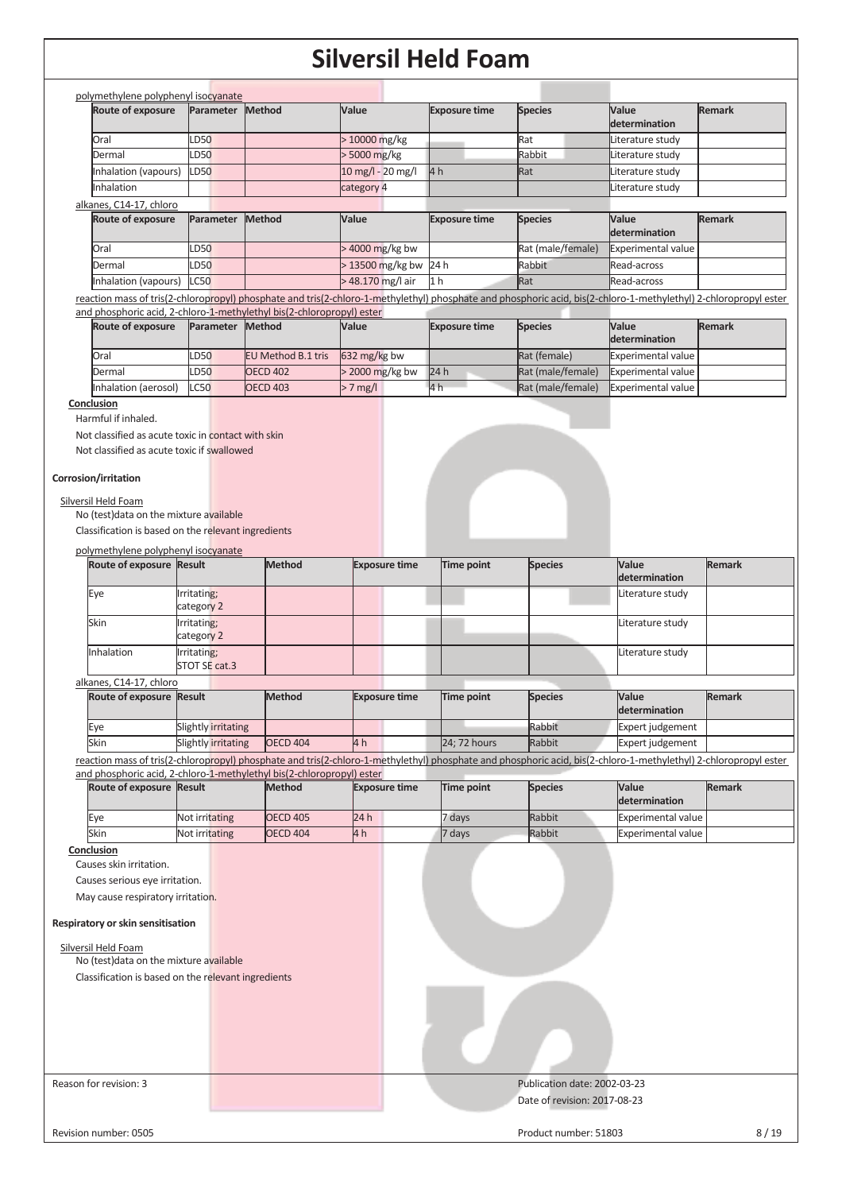| Route of exposure                                                                                                                             | Parameter                 | <b>Method</b>                                                         | Value                | <b>Exposure time</b> | <b>Species</b>                                                                                                                                                   | Value                     | <b>Remark</b> |
|-----------------------------------------------------------------------------------------------------------------------------------------------|---------------------------|-----------------------------------------------------------------------|----------------------|----------------------|------------------------------------------------------------------------------------------------------------------------------------------------------------------|---------------------------|---------------|
|                                                                                                                                               |                           |                                                                       |                      |                      |                                                                                                                                                                  | determination             |               |
| Oral                                                                                                                                          | LD50                      |                                                                       | > 10000 mg/kg        |                      | Rat                                                                                                                                                              | Literature study          |               |
| Dermal                                                                                                                                        | LD50                      |                                                                       | > 5000 mg/kg         |                      | Rabbit                                                                                                                                                           | Literature study          |               |
| Inhalation (vapours)                                                                                                                          | <b>LD50</b>               |                                                                       | 10 mg/l - 20 mg/l    | 4 <sub>h</sub>       | Rat                                                                                                                                                              | Literature study          |               |
| Inhalation                                                                                                                                    |                           |                                                                       | category 4           |                      |                                                                                                                                                                  | Literature study          |               |
| alkanes, C14-17, chloro                                                                                                                       |                           |                                                                       |                      |                      |                                                                                                                                                                  |                           |               |
| Route of exposure                                                                                                                             | Parameter                 | Method                                                                | Value                | <b>Exposure time</b> | <b>Species</b>                                                                                                                                                   | Value                     | <b>Remark</b> |
|                                                                                                                                               |                           |                                                                       |                      |                      |                                                                                                                                                                  | determination             |               |
| Oral                                                                                                                                          | LD50                      |                                                                       | > 4000 mg/kg bw      |                      | Rat (male/female)                                                                                                                                                | Experimental value        |               |
| Dermal                                                                                                                                        | LD50                      |                                                                       | > 13500 mg/kg bw     | 24 h                 | Rabbit                                                                                                                                                           | Read-across               |               |
| Inhalation (vapours)                                                                                                                          | <b>LC50</b>               |                                                                       | > 48.170 mg/l air    | 1 <sub>h</sub>       | Rat                                                                                                                                                              | Read-across               |               |
|                                                                                                                                               |                           |                                                                       |                      |                      | reaction mass of tris(2-chloropropyl) phosphate and tris(2-chloro-1-methylethyl) phosphate and phosphoric acid, bis(2-chloro-1-methylethyl) 2-chloropropyl ester |                           |               |
|                                                                                                                                               | Parameter Method          | and phosphoric acid, 2-chloro-1-methylethyl bis(2-chloropropyl) ester | Value                | <b>Exposure time</b> |                                                                                                                                                                  | Value                     | <b>Remark</b> |
| Route of exposure                                                                                                                             |                           |                                                                       |                      |                      | <b>Species</b>                                                                                                                                                   | determination             |               |
| Oral                                                                                                                                          | LD50                      | EU Method B.1 tris                                                    | 632 mg/kg bw         |                      | Rat (female)                                                                                                                                                     | Experimental value        |               |
| Dermal                                                                                                                                        | LD50                      | <b>OECD 402</b>                                                       | > 2000 mg/kg bw      | 24h                  | Rat (male/female)                                                                                                                                                | <b>Experimental value</b> |               |
| Inhalation (aerosol)                                                                                                                          | L <sub>CS0</sub>          | <b>OECD 403</b>                                                       | $> 7$ mg/l           | 4h                   | Rat (male/female)                                                                                                                                                | <b>Experimental value</b> |               |
| Conclusion                                                                                                                                    |                           |                                                                       |                      |                      |                                                                                                                                                                  |                           |               |
| Corrosion/irritation<br>Silversil Held Foam<br>No (test) data on the mixture available<br>Classification is based on the relevant ingredients |                           |                                                                       |                      |                      |                                                                                                                                                                  |                           |               |
|                                                                                                                                               |                           |                                                                       |                      |                      |                                                                                                                                                                  |                           |               |
| polymethylene polyphenyl isocyanate<br>Route of exposure Result                                                                               |                           | <b>Method</b>                                                         |                      |                      |                                                                                                                                                                  | Value                     |               |
|                                                                                                                                               |                           |                                                                       | <b>Exposure time</b> | Time point           | <b>Species</b>                                                                                                                                                   |                           | <b>Remark</b> |
|                                                                                                                                               |                           |                                                                       |                      |                      |                                                                                                                                                                  |                           |               |
|                                                                                                                                               |                           |                                                                       |                      |                      |                                                                                                                                                                  | determination             |               |
| Eye                                                                                                                                           | Irritating;               |                                                                       |                      |                      |                                                                                                                                                                  | Literature study          |               |
| Skin                                                                                                                                          | category 2                |                                                                       |                      |                      |                                                                                                                                                                  |                           |               |
|                                                                                                                                               | Irritating;<br>category 2 |                                                                       |                      |                      |                                                                                                                                                                  | Literature study          |               |
| Inhalation                                                                                                                                    | Irritating;               |                                                                       |                      |                      |                                                                                                                                                                  | Literature study          |               |
|                                                                                                                                               | STOT SE cat.3             |                                                                       |                      |                      |                                                                                                                                                                  |                           |               |
| alkanes, C14-17, chloro                                                                                                                       |                           |                                                                       |                      |                      |                                                                                                                                                                  |                           |               |
| Route of exposure Result                                                                                                                      |                           | <b>Method</b>                                                         | <b>Exposure time</b> | Time point           | <b>Species</b>                                                                                                                                                   | Value                     | <b>Remark</b> |
|                                                                                                                                               |                           |                                                                       |                      |                      |                                                                                                                                                                  | determination             |               |
| Eye                                                                                                                                           | Slightly irritating       |                                                                       |                      |                      | Rabbit                                                                                                                                                           | Expert judgement          |               |
| Skin                                                                                                                                          | Slightly irritating       | <b>OECD 404</b>                                                       | 4 h                  | 24; 72 hours         | Rabbit                                                                                                                                                           | Expert judgement          |               |
|                                                                                                                                               |                           |                                                                       |                      |                      | reaction mass of tris(2-chloropropyl) phosphate and tris(2-chloro-1-methylethyl) phosphate and phosphoric acid, bis(2-chloro-1-methylethyl) 2-chloropropyl ester |                           |               |
|                                                                                                                                               |                           | and phosphoric acid, 2-chloro-1-methylethyl bis(2-chloropropyl) ester |                      |                      |                                                                                                                                                                  |                           |               |
| Route of exposure Result                                                                                                                      |                           | <b>Method</b>                                                         | <b>Exposure time</b> | <b>Time point</b>    | <b>Species</b>                                                                                                                                                   | Value<br>determination    | <b>Remark</b> |
|                                                                                                                                               |                           |                                                                       |                      |                      |                                                                                                                                                                  |                           |               |
| Eye                                                                                                                                           | Not irritating            | <b>OECD 405</b>                                                       | 24 h                 | 7 days               | Rabbit                                                                                                                                                           | <b>Experimental value</b> |               |
| Skin                                                                                                                                          | Not irritating            | <b>OECD 404</b>                                                       | 4 <sub>h</sub>       | 7 days               | Rabbit                                                                                                                                                           | <b>Experimental value</b> |               |
| Conclusion<br>Causes skin irritation.                                                                                                         |                           |                                                                       |                      |                      |                                                                                                                                                                  |                           |               |
| Causes serious eye irritation.                                                                                                                |                           |                                                                       |                      |                      |                                                                                                                                                                  |                           |               |
| May cause respiratory irritation.                                                                                                             |                           |                                                                       |                      |                      |                                                                                                                                                                  |                           |               |
|                                                                                                                                               |                           |                                                                       |                      |                      |                                                                                                                                                                  |                           |               |
| Respiratory or skin sensitisation                                                                                                             |                           |                                                                       |                      |                      |                                                                                                                                                                  |                           |               |
|                                                                                                                                               |                           |                                                                       |                      |                      |                                                                                                                                                                  |                           |               |
| Silversil Held Foam<br>No (test) data on the mixture available                                                                                |                           |                                                                       |                      |                      |                                                                                                                                                                  |                           |               |
| Classification is based on the relevant ingredients                                                                                           |                           |                                                                       |                      |                      |                                                                                                                                                                  |                           |               |
|                                                                                                                                               |                           |                                                                       |                      |                      |                                                                                                                                                                  |                           |               |
|                                                                                                                                               |                           |                                                                       |                      |                      |                                                                                                                                                                  |                           |               |
| Reason for revision: 3                                                                                                                        |                           |                                                                       |                      |                      | Publication date: 2002-03-23                                                                                                                                     |                           |               |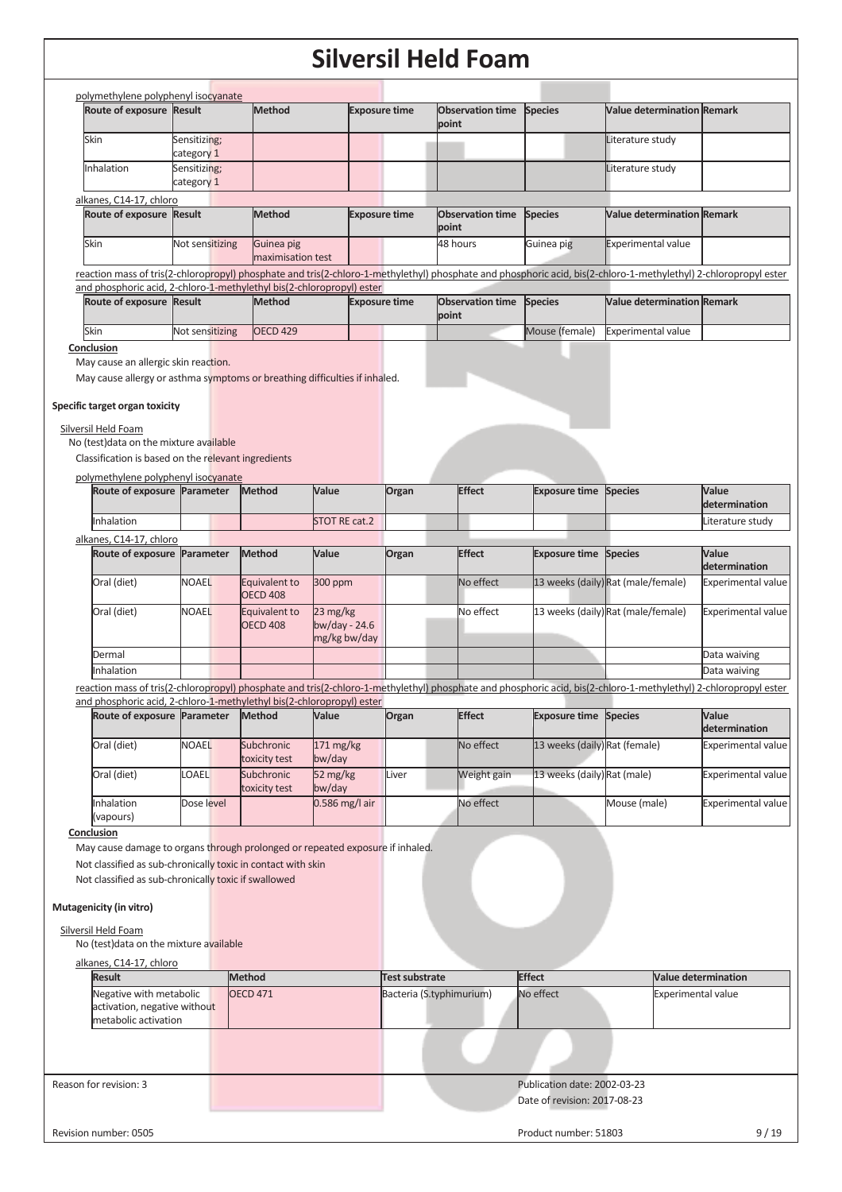|                                                                                                                                                                                                                                                                                                                                             |                            |                                  |                                             |                      | Siiversii neid rodiil            |                                                              |                                                                                                                                                                  |                                   |
|---------------------------------------------------------------------------------------------------------------------------------------------------------------------------------------------------------------------------------------------------------------------------------------------------------------------------------------------|----------------------------|----------------------------------|---------------------------------------------|----------------------|----------------------------------|--------------------------------------------------------------|------------------------------------------------------------------------------------------------------------------------------------------------------------------|-----------------------------------|
| polymethylene polyphenyl isocyanate                                                                                                                                                                                                                                                                                                         |                            | <b>Method</b>                    |                                             |                      | <b>Observation time</b>          | <b>Species</b>                                               | <b>Value determination Remark</b>                                                                                                                                |                                   |
| Route of exposure Result                                                                                                                                                                                                                                                                                                                    |                            |                                  |                                             | <b>Exposure time</b> | point                            |                                                              |                                                                                                                                                                  |                                   |
| Skin                                                                                                                                                                                                                                                                                                                                        | Sensitizing;<br>category 1 |                                  |                                             |                      |                                  |                                                              | Literature study                                                                                                                                                 |                                   |
| Inhalation                                                                                                                                                                                                                                                                                                                                  | Sensitizing;<br>category 1 |                                  |                                             |                      |                                  |                                                              | Literature study                                                                                                                                                 |                                   |
| alkanes, C14-17, chloro                                                                                                                                                                                                                                                                                                                     |                            |                                  |                                             |                      |                                  |                                                              |                                                                                                                                                                  |                                   |
| Route of exposure Result                                                                                                                                                                                                                                                                                                                    |                            | <b>Method</b>                    |                                             | <b>Exposure time</b> | <b>Observation time</b><br>point | <b>Species</b>                                               | <b>Value determination Remark</b>                                                                                                                                |                                   |
| Skin                                                                                                                                                                                                                                                                                                                                        | Not sensitizing            | Guinea pig<br>maximisation test  |                                             |                      | 48 hours                         | Guinea pig                                                   | <b>Experimental value</b>                                                                                                                                        |                                   |
|                                                                                                                                                                                                                                                                                                                                             |                            |                                  |                                             |                      |                                  |                                                              | reaction mass of tris(2-chloropropyl) phosphate and tris(2-chloro-1-methylethyl) phosphate and phosphoric acid, bis(2-chloro-1-methylethyl) 2-chloropropyl ester |                                   |
| and phosphoric acid, 2-chloro-1-methylethyl bis(2-chloropropyl) ester                                                                                                                                                                                                                                                                       |                            |                                  |                                             |                      |                                  |                                                              |                                                                                                                                                                  |                                   |
| Route of exposure Result                                                                                                                                                                                                                                                                                                                    |                            | Method                           |                                             | <b>Exposure time</b> | <b>Observation time</b><br>point | <b>Species</b>                                               | <b>Value determination Remark</b>                                                                                                                                |                                   |
| Skin<br>Conclusion                                                                                                                                                                                                                                                                                                                          | Not sensitizing            | <b>OECD 429</b>                  |                                             |                      |                                  | Mouse (female)                                               | <b>Experimental value</b>                                                                                                                                        |                                   |
| May cause an allergic skin reaction.<br>May cause allergy or asthma symptoms or breathing difficulties if inhaled.<br>Specific target organ toxicity<br>Silversil Held Foam<br>No (test) data on the mixture available                                                                                                                      |                            |                                  |                                             |                      |                                  |                                                              |                                                                                                                                                                  |                                   |
| Classification is based on the relevant ingredients                                                                                                                                                                                                                                                                                         |                            |                                  |                                             |                      |                                  |                                                              |                                                                                                                                                                  |                                   |
| polymethylene polyphenyl isocyanate<br>Route of exposure Parameter                                                                                                                                                                                                                                                                          |                            | Method                           | Value                                       | Organ                | <b>Effect</b>                    | <b>Exposure time Species</b>                                 |                                                                                                                                                                  | Value                             |
| Inhalation                                                                                                                                                                                                                                                                                                                                  |                            |                                  | <b>STOT RE cat.2</b>                        |                      |                                  |                                                              |                                                                                                                                                                  | determination<br>Literature study |
| alkanes, C14-17, chloro                                                                                                                                                                                                                                                                                                                     |                            |                                  |                                             |                      |                                  |                                                              |                                                                                                                                                                  |                                   |
| Route of exposure Parameter                                                                                                                                                                                                                                                                                                                 |                            | Method                           | Value                                       | Organ                | <b>Effect</b>                    | <b>Exposure time</b>                                         | <b>Species</b>                                                                                                                                                   | Value<br>determination            |
| Oral (diet)                                                                                                                                                                                                                                                                                                                                 | <b>NOAEL</b>               | Equivalent to<br><b>OECD 408</b> | 300 ppm                                     |                      | No effect                        |                                                              | 13 weeks (daily) Rat (male/female)                                                                                                                               | <b>Experimental value</b>         |
| Oral (diet)                                                                                                                                                                                                                                                                                                                                 | <b>NOAEL</b>               | Equivalent to<br><b>OECD 408</b> | 23 mg/kg<br>$bw/day - 24.6$<br>mg/kg bw/day |                      | No effect                        |                                                              | 13 weeks (daily) Rat (male/female)                                                                                                                               | <b>Experimental value</b>         |
| Dermal                                                                                                                                                                                                                                                                                                                                      |                            |                                  |                                             |                      |                                  |                                                              |                                                                                                                                                                  | Data waiving                      |
| Inhalation                                                                                                                                                                                                                                                                                                                                  |                            |                                  |                                             |                      |                                  |                                                              |                                                                                                                                                                  | Data waiving                      |
| and phosphoric acid, 2-chloro-1-methylethyl bis(2-chloropropyl) ester                                                                                                                                                                                                                                                                       |                            |                                  |                                             |                      |                                  |                                                              | reaction mass of tris(2-chloropropyl) phosphate and tris(2-chloro-1-methylethyl) phosphate and phosphoric acid, bis(2-chloro-1-methylethyl) 2-chloropropyl ester |                                   |
| Route of exposure Parameter                                                                                                                                                                                                                                                                                                                 |                            | Method                           | Value                                       | Organ                | <b>Effect</b>                    | <b>Exposure time Species</b>                                 |                                                                                                                                                                  | Value<br>determination            |
| Oral (diet)                                                                                                                                                                                                                                                                                                                                 | <b>NOAEL</b>               | Subchronic<br>toxicity test      | 171 mg/kg<br>bw/day                         |                      | No effect                        | 13 weeks (daily) Rat (female)                                |                                                                                                                                                                  | <b>Experimental value</b>         |
| Oral (diet)                                                                                                                                                                                                                                                                                                                                 | <b>OAEL</b>                | Subchronic<br>toxicity test      | 52 mg/kg<br>bw/day                          | Liver                | Weight gain                      | 13 weeks (daily) Rat (male)                                  |                                                                                                                                                                  | <b>Experimental value</b>         |
| Inhalation<br>(vapours)                                                                                                                                                                                                                                                                                                                     | Dose level                 |                                  | $0.586$ mg/l air                            |                      | No effect                        |                                                              | Mouse (male)                                                                                                                                                     | <b>Experimental value</b>         |
| Conclusion<br>May cause damage to organs through prolonged or repeated exposure if inhaled.<br>Not classified as sub-chronically toxic in contact with skin<br>Not classified as sub-chronically toxic if swallowed<br>Mutagenicity (in vitro)<br>Silversil Held Foam<br>No (test) data on the mixture available<br>alkanes, C14-17, chloro |                            |                                  |                                             |                      |                                  |                                                              |                                                                                                                                                                  |                                   |
| <b>Result</b>                                                                                                                                                                                                                                                                                                                               |                            | <b>Method</b>                    |                                             | Test substrate       |                                  | <b>Effect</b>                                                | <b>Value determination</b>                                                                                                                                       |                                   |
| Negative with metabolic<br>activation, negative without<br>metabolic activation                                                                                                                                                                                                                                                             |                            | <b>OECD 471</b>                  |                                             |                      | Bacteria (S.typhimurium)         | No effect                                                    | <b>Experimental value</b>                                                                                                                                        |                                   |
|                                                                                                                                                                                                                                                                                                                                             |                            |                                  |                                             |                      |                                  |                                                              |                                                                                                                                                                  |                                   |
| Reason for revision: 3                                                                                                                                                                                                                                                                                                                      |                            |                                  |                                             |                      |                                  | Publication date: 2002-03-23<br>Date of revision: 2017-08-23 |                                                                                                                                                                  |                                   |
| Revision number: 0505                                                                                                                                                                                                                                                                                                                       |                            |                                  |                                             |                      |                                  | Product number: 51803                                        |                                                                                                                                                                  | 9/19                              |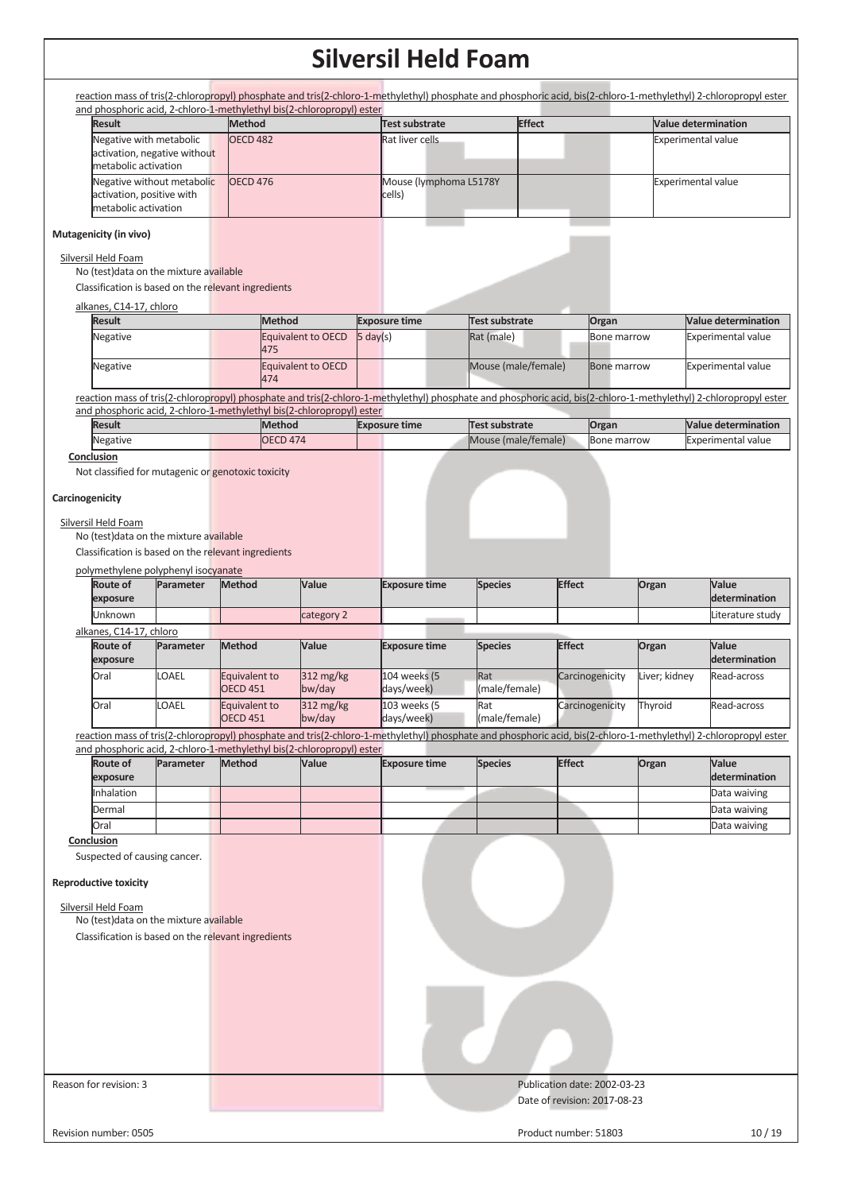reaction mass of tris(2-chloropropyl) phosphate and tris(2-chloro-1-methylethyl) phosphate and phosphoric acid, bis(2-chloro-1-methylethyl) 2-chloropropyl ester and phosphoric acid, 2-chloro-1-methylethyl bis(2-chloropropyl) ester

| <b>Result</b>                | <b>Method</b>   | Test substrate          | <b>Effect</b> | <b>Value determination</b> |
|------------------------------|-----------------|-------------------------|---------------|----------------------------|
| Negative with metabolic      | <b>OECD 482</b> | Rat liver cells         |               | <b>Experimental value</b>  |
| activation, negative without |                 |                         |               |                            |
| metabolic activation         |                 |                         |               |                            |
| Negative without metabolic   | OECD 476        | Mouse (lymphoma L5178Y) |               | <b>Experimental value</b>  |
| activation, positive with    |                 | cells)                  |               |                            |
| metabolic activation         |                 |                         |               |                            |

#### **Mutagenicity (in vivo)**

#### Silversil Held Foam

No (test)data on the mixture available

Classification is based on the relevant ingredients

#### alkanes, C14-17, chloro

| <b>Result</b> | <b>Method</b>             | <b>Exposure time</b> | Test substrate      | Organ       | <b>Nalue determination</b> |
|---------------|---------------------------|----------------------|---------------------|-------------|----------------------------|
| Negative      | Equivalent to OECD<br>475 | $5 \text{ day}(s)$   | Rat (male)          | Bone marrow | <b>Experimental value</b>  |
| Negative      | Equivalent to OECD<br>474 |                      | Mouse (male/female) | Bone marrow | <b>Experimental value</b>  |

reaction mass of tris(2-chloropropyl) phosphate and tris(2-chloro-1-methylethyl) phosphate and phosphoric acid, bis(2-chloro-1-methylethyl) 2-chloropropyl ester and phosphoric acid, 2-chloro-1-methylethyl bis(2-chloropropyl) ester

| Result   | Method          | <b>Exposure time</b> | Test substrate              | Organ              | <b>Nalue determination</b> |
|----------|-----------------|----------------------|-----------------------------|--------------------|----------------------------|
| Negative | <b>OECD 474</b> |                      | <b>IMouse (male/female)</b> | <b>Bone marrow</b> | Experimental value         |

#### **Conclusion**

Not classified for mutagenic or genotoxic toxicity

#### **Carcinogenicity**

#### Silversil Held Foam

No (test)data on the mixture available

Classification is based on the relevant ingredients

polymethylene polyphenyl isocyanate

| Route of<br>exposure    | <b>Parameter</b> | <b>Method</b>                    | Value                            | <b>Exposure time</b>       | <b>Species</b>              | <b>Effect</b>   | Organ         | <b>Value</b><br><b>determination</b> |
|-------------------------|------------------|----------------------------------|----------------------------------|----------------------------|-----------------------------|-----------------|---------------|--------------------------------------|
| Unknown                 |                  |                                  | category 2                       |                            |                             |                 |               | Literature study                     |
| alkanes, C14-17, chloro |                  |                                  |                                  |                            |                             |                 |               |                                      |
| Route of<br>exposure    | <b>Parameter</b> | Method                           | Value                            | <b>Exposure time</b>       | <b>Species</b>              | <b>Effect</b>   | Organ         | Value<br><b>determination</b>        |
| Oral                    | LOAEL            | Equivalent to<br><b>OECD 451</b> | $312 \text{ mg/kg}$<br>$bw$ /day | 104 weeks (5<br>days/week) | <b>Rat</b><br>(male/female) | Carcinogenicity | Liver: kidnev | Read-across                          |
| Oral                    | <b>LOAEL</b>     | Equivalent to                    | $312 \text{ mg/kg}$              | 103 weeks (5               | Rat                         | Carcinogenicity | Thyroid       | Read-across                          |

OECD 451 bw/day (male/female) reaction mass of tris(2-chloropropyl) phosphate and tris(2-chloro-1-methylethyl) phosphate and phosphoric acid, bis(2-chloro-1-methylethyl) 2-chloropropyl ester and phosphoric acid, 2-chloro-1-methylethyl bis(2-chloropropyl) ester

days/week)

| <b>Route of</b><br>exposure | Parameter | <b>Method</b> | Value | <b>Exposure time</b> | <b>Species</b> | <b>Effect</b> | Organ | <b>Value</b><br>determination |
|-----------------------------|-----------|---------------|-------|----------------------|----------------|---------------|-------|-------------------------------|
| Inhalation                  |           |               |       |                      |                |               |       | Data waiving                  |
| Dermal                      |           |               |       |                      |                |               |       | Data waiving                  |
| Oral                        |           |               |       |                      |                |               |       | Data waiving                  |

**Conclusion** 

Suspected of causing cancer.

#### **Reproductive toxicity**

| Silversil Held Foam |
|---------------------|
|---------------------|

No (test)data on the mixture available Classification is based on the relevant ingredients

Reason for revision: 3 Publication date: 2002-03-23

Date of revision: 2017-08-23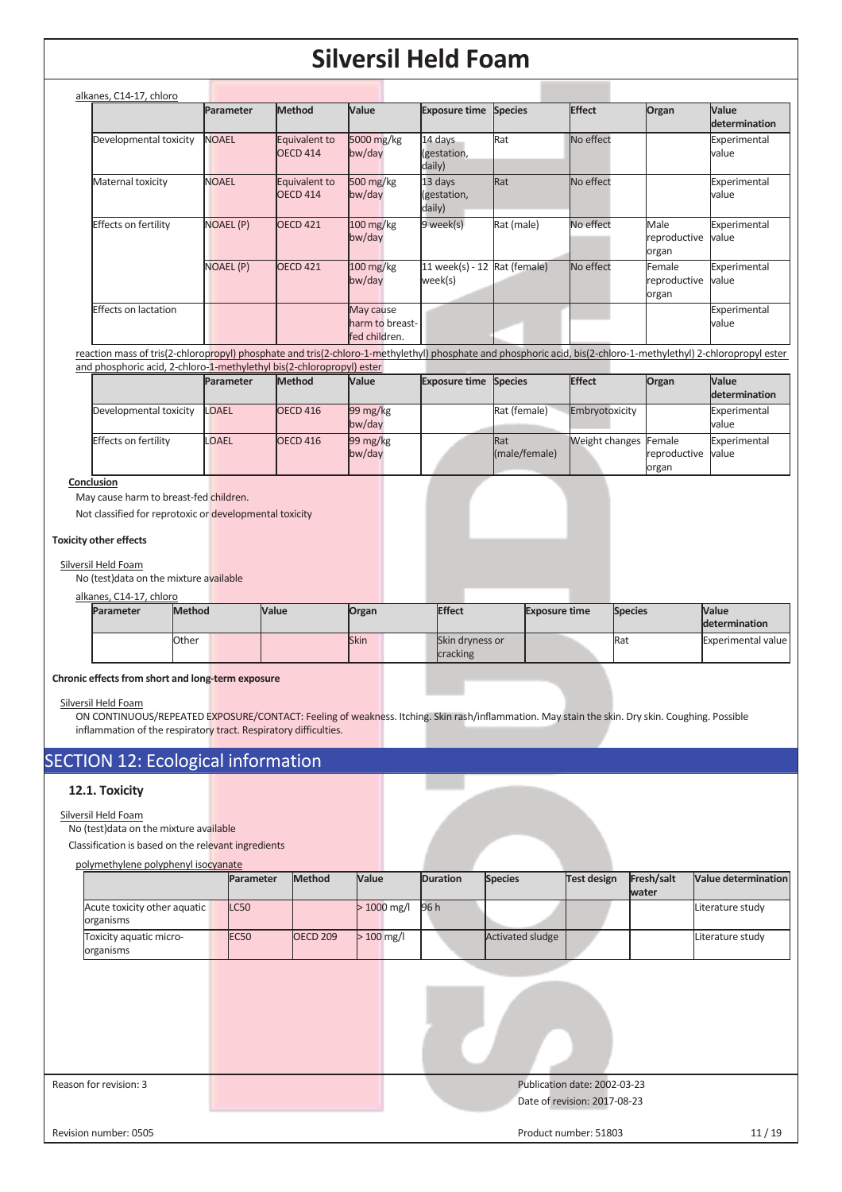| alkanes, C14-17, chloro     |                  |                           |                                               |                                  |                |               |                                 |                               |
|-----------------------------|------------------|---------------------------|-----------------------------------------------|----------------------------------|----------------|---------------|---------------------------------|-------------------------------|
|                             | Parameter        | <b>Method</b>             | <b>Value</b>                                  | <b>Exposure time</b>             | <b>Species</b> | <b>Effect</b> | Organ                           | Value<br><b>determination</b> |
| Developmental toxicity      | <b>NOAEL</b>     | Equivalent to<br>OECD 414 | 5000 mg/kg<br>bw/day                          | 14 days<br>(gestation,<br>daily) | Rat            | No effect     |                                 | Experimental<br>value         |
| Maternal toxicity           | <b>NOAEL</b>     | Equivalent to<br>OECD 414 | $500 \frac{\text{mg}}{\text{kg}}$<br>bw/day   | 13 days<br>(gestation,<br>daily) | Rat            | No effect     |                                 | Experimental<br>value         |
| Effects on fertility        | NOAEL (P)        | <b>OECD 421</b>           | $100 \frac{\text{mg}}{\text{kg}}$<br>bw/day   | 9 week(s)                        | Rat (male)     | No effect     | Male<br>reproductive<br>organ   | Experimental<br>value         |
|                             | <b>NOAEL (P)</b> | <b>OECD 421</b>           | $100 \frac{\text{mg}}{\text{kg}}$<br>bw/day   | 11 week(s) - 12<br>week(s)       | Rat (female)   | No effect     | Female<br>reproductive<br>organ | Experimental<br>value         |
| <b>Effects on lactation</b> |                  |                           | May cause<br>harm to breast-<br>fed children. |                                  |                |               |                                 | Experimental<br>value         |

reaction mass of tris(2-chloropropyl) phosphate and tris(2-chloro-1-methylethyl) phosphate and phosphoric acid, bis(2-chloro-1-methylethyl) 2-chloropropyl ester and phosphoric acid, 2-chloro-1-methylethyl bis(2-chloropropyl) ester

|                             | Parameter    | <b>Method</b>   | Value                           | <b>Exposure time Species</b> |                             | <b>Effect</b>                | Organ                       | <b>Value</b>          |
|-----------------------------|--------------|-----------------|---------------------------------|------------------------------|-----------------------------|------------------------------|-----------------------------|-----------------------|
|                             |              |                 |                                 |                              |                             |                              |                             | <b>determination</b>  |
| Developmental toxicity      | <b>LOAEL</b> | <b>OECD 416</b> | $99 \,\mathrm{mg/kg}$<br>bw/day |                              | Rat (female)                | Embryotoxicity               |                             | Experimental<br>value |
| <b>Effects on fertility</b> | <b>LOAEL</b> | <b>OECD 416</b> | $99 \,\mathrm{mg/kg}$<br>bw/day |                              | <b>Rat</b><br>(male/female) | <b>Weight changes Female</b> | reproductive value<br>organ | Experimental          |

#### **Conclusion**

May cause harm to breast-fed children.

Not classified for reprotoxic or developmental toxicity

#### **Toxicity other effects**

#### Silversil Held Foam

No (test)data on the mixture available

#### alkanes, C14-17, chloro

| <b>Parameter</b> | <b>Method</b> | <b>Value</b> | Organ       | <b>Effect</b>                      | <b>Exposure time</b> | <b>Species</b> | <b>Value</b><br>determination |
|------------------|---------------|--------------|-------------|------------------------------------|----------------------|----------------|-------------------------------|
|                  | Other         |              | <b>Skin</b> | <b>Skin dryness or</b><br>cracking |                      | <b>R</b> aน    | Experimental value            |

#### **Chronic effects from short and long-term exposure**

#### Silversil Held Foam

ON CONTINUOUS/REPEATED EXPOSURE/CONTACT: Feeling of weakness. Itching. Skin rash/inflammation. May stain the skin. Dry skin. Coughing. Possible inflammation of the respiratory tract. Respiratory difficulties.

## SECTION 12: Ecological information

#### **12.1. Toxicity**

#### Silversil Held Foam

No (test)data on the mixture available

Classification is based on the relevant ingredients

#### polymethylene polyphenyl isocyanate

|                                           | <b>Parameter</b> | <b>Method</b>   | Value                   | <b>Duration</b> | <b>Species</b>          | Test design | Fresh/salt | <b>Value determination</b> |
|-------------------------------------------|------------------|-----------------|-------------------------|-----------------|-------------------------|-------------|------------|----------------------------|
|                                           |                  |                 |                         |                 |                         |             | water      |                            |
| Acute toxicity other aquatic<br>organisms | LC50             |                 | $>1000 \,\mathrm{mg/l}$ | 96 h            |                         |             |            | Literature study           |
| Toxicity aquatic micro-<br>organisms      | <b>EC50</b>      | <b>OECD 209</b> | $>100$ mg/l             |                 | <b>Activated sludge</b> |             |            | Literature study           |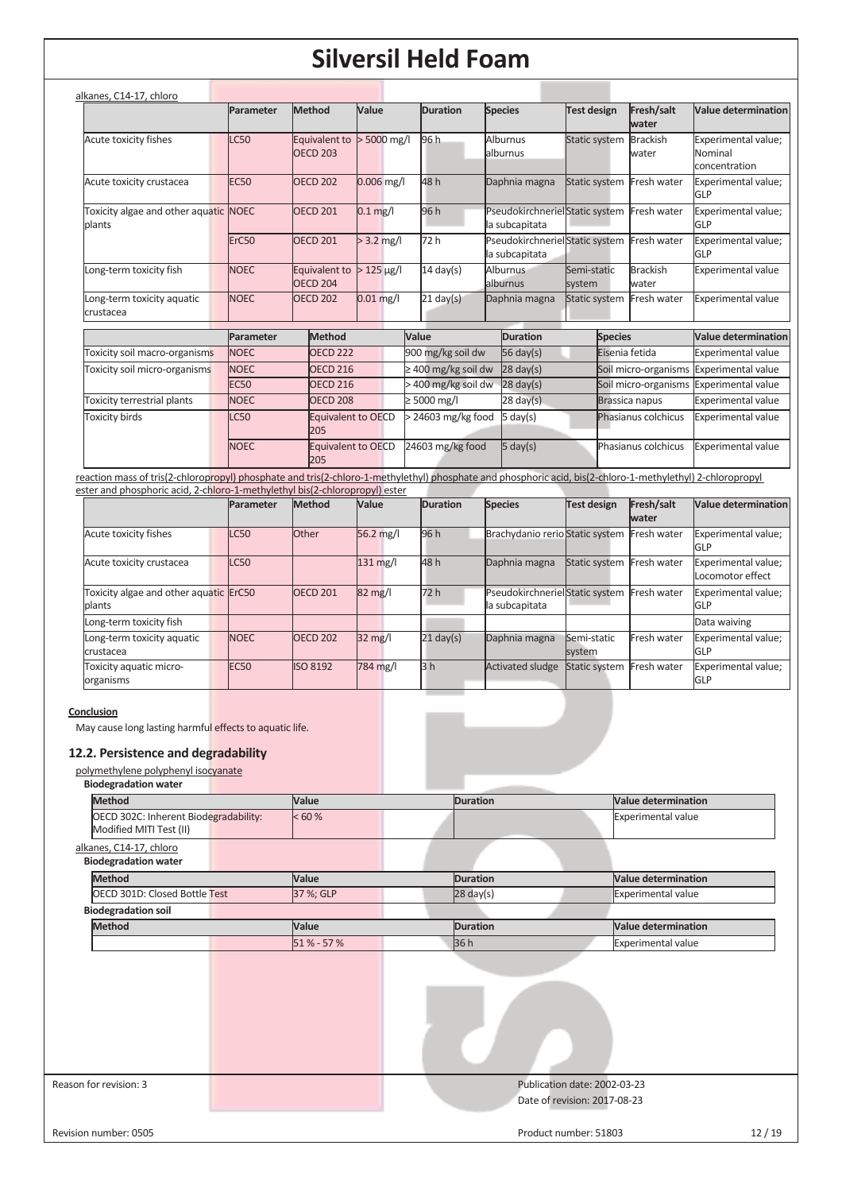|                                                                                                                                                            | Parameter         | Method                           | Value                     | <b>Duration</b>          | <b>Species</b>              | <b>Test design</b>    | Fresh/salt<br>water                        | Value determination                             |
|------------------------------------------------------------------------------------------------------------------------------------------------------------|-------------------|----------------------------------|---------------------------|--------------------------|-----------------------------|-----------------------|--------------------------------------------|-------------------------------------------------|
| Acute toxicity fishes                                                                                                                                      | <b>LC50</b>       | Equivalent to<br><b>OECD 203</b> | $> 5000$ mg/l             | 96 h                     | Alburnus<br>alburnus        | Static system         | <b>Brackish</b><br>water                   | Experimental value;<br>Nominal<br>concentration |
| Acute toxicity crustacea                                                                                                                                   | <b>EC50</b>       | <b>OECD 202</b>                  | $0.006$ mg/l              | 48 h                     | Daphnia magna               |                       | Static system Fresh water                  | Experimental value;<br>GLP                      |
| Toxicity algae and other aquatic NOEC<br>plants                                                                                                            |                   | <b>OECD 201</b>                  | $0.1$ mg/l                | 96 h                     | la subcapitata              |                       | PseudokirchnerielStatic system Fresh water | Experimental value;<br>GLP                      |
|                                                                                                                                                            | ErC <sub>50</sub> | <b>OECD 201</b>                  | $> 3.2$ mg/l              | 72 h                     | la subcapitata              |                       | PseudokirchnerielStatic system Fresh water | Experimental value;<br>GLP                      |
| Long-term toxicity fish                                                                                                                                    | <b>NOEC</b>       | Equivalent to<br><b>OECD 204</b> | $>125 \,\mathrm{\mu g/l}$ | $14 \text{ day(s)}$      | <b>Alburnus</b><br>alburnus | Semi-static<br>system | <b>Brackish</b><br>water                   | <b>Experimental value</b>                       |
| Long-term toxicity aquatic<br>crustacea                                                                                                                    | <b>NOEC</b>       | <b>OECD 202</b>                  | $0.01$ mg/l               | $21$ day(s)              | Daphnia magna               | <b>Static system</b>  | Fresh water                                | <b>Experimental value</b>                       |
|                                                                                                                                                            | Parameter         | Method                           |                           | Value                    | <b>Duration</b>             |                       | <b>Species</b>                             | <b>Value determination</b>                      |
| Toxicity soil macro-organisms                                                                                                                              | <b>NOEC</b>       | OECD <sub>222</sub>              |                           | 900 mg/kg soil dw        | 56 day(s)                   |                       | Eisenia fetida                             | <b>Experimental value</b>                       |
| Toxicity soil micro-organisms                                                                                                                              | <b>NOEC</b>       | <b>OECD 216</b>                  |                           | $\geq$ 400 mg/kg soil dw | $28$ day(s)                 |                       | Soil micro-organisms                       | <b>Experimental value</b>                       |
|                                                                                                                                                            | <b>EC50</b>       | OECD <sub>216</sub>              |                           | > 400 mg/kg soil dw      | $28 \text{ day}(s)$         |                       | Soil micro-organisms                       | <b>Experimental value</b>                       |
| Toxicity terrestrial plants                                                                                                                                | <b>NOEC</b>       | OECD <sub>208</sub>              |                           | $\geq 5000$ mg/l         | $28 \text{ day(s)}$         |                       | Brassica napus                             | <b>Experimental value</b>                       |
| <b>Toxicity birds</b>                                                                                                                                      | <b>LC50</b>       | Equivalent to OECD<br>205        |                           | $>$ 24603 mg/kg food     | $5 \text{ day}(s)$          |                       | Phasianus colchicus                        | <b>Experimental value</b>                       |
|                                                                                                                                                            | <b>NOEC</b>       | Equivalent to OECD<br>205        |                           | 24603 mg/kg food         | $5 \text{ day}(s)$          |                       | Phasianus colchicus                        | Experimental value                              |
| reaction mass of tris(2-chloropropyl) phosphate and tris(2-chloro-1-methylethyl) phosphate and phosphoric acid, bis(2-chloro-1-methylethyl) 2-chloropropyl |                   |                                  |                           |                          |                             |                       |                                            |                                                 |
| ester and phosphoric acid, 2-chloro-1-methylethyl bis(2-chloropropyl) ester                                                                                |                   |                                  |                           |                          |                             |                       |                                            |                                                 |
|                                                                                                                                                            | Parameter         | <b>Method</b>                    | Value                     | <b>Duration</b>          | <b>Species</b>              | <b>Test design</b>    | Fresh/salt                                 | Value determination                             |

|                                                  | <b>Parameter</b> | <b>IMethod</b>  | <b>Nalue</b>      | <b>IDuration</b>    | <b>Species</b>                                   | Test design               | <b>IFresh/salt</b><br>water | <b>Nalue determination</b>              |
|--------------------------------------------------|------------------|-----------------|-------------------|---------------------|--------------------------------------------------|---------------------------|-----------------------------|-----------------------------------------|
| Acute toxicity fishes                            | <b>LC50</b>      | Other           | $56.2$ mg/l       | 96 h                | Brachydanio rerio Static system Fresh water      |                           |                             | Experimental value;<br>GLP              |
| Acute toxicity crustacea                         | <b>LC50</b>      |                 | $131$ mg/l        | 48 h                | Daphnia magna                                    | Static system Fresh water |                             | Experimental value;<br>Locomotor effect |
| Toxicity algae and other aquatic ErC50<br>blants |                  | <b>OECD 201</b> | $82 \text{ mg}$ / | 72 h                | PseudokirchnerielStatic system<br>la subcapitata |                           | Fresh water                 | Experimental value;<br>GLP              |
| Long-term toxicity fish                          |                  |                 |                   |                     |                                                  |                           |                             | Data waiving                            |
| Long-term toxicity aquatic<br>crustacea          | <b>NOEC</b>      | <b>OECD 202</b> | $32 \text{ mg/l}$ | $21 \text{ day(s)}$ | Daphnia magna                                    | Semi-static<br>system     | Fresh water                 | Experimental value;<br><b>GLP</b>       |
| Toxicity aquatic micro-<br>organisms             | EC <sub>50</sub> | <b>ISO 8192</b> | 784 mg/l          | 3 <sub>h</sub>      | <b>Activated sludge</b>                          | Static system             | Fresh water                 | Experimental value:<br>GLP              |

### **Conclusion**

May cause long lasting harmful effects to aquatic life.

### **12.2. Persistence and degradability**

#### polymethylene polyphenyl isocyanate

| <b>Biodegradation water</b>                                      |           |                 |                                                              |
|------------------------------------------------------------------|-----------|-----------------|--------------------------------------------------------------|
| <b>Method</b>                                                    | Value     | <b>Duration</b> | <b>Value determination</b>                                   |
| OECD 302C: Inherent Biodegradability:<br>Modified MITI Test (II) | < 60 %    |                 | <b>Experimental value</b>                                    |
| alkanes, C14-17, chloro<br><b>Biodegradation water</b>           |           |                 |                                                              |
| <b>Method</b>                                                    | Value     | <b>Duration</b> | <b>Value determination</b>                                   |
| OECD 301D: Closed Bottle Test                                    | 37 %; GLP | $28$ day(s)     | Experimental value                                           |
| <b>Biodegradation soil</b>                                       |           |                 |                                                              |
| <b>Method</b>                                                    | Value     | <b>Duration</b> | <b>Value determination</b>                                   |
|                                                                  | 51% - 57% | 36h             | <b>Experimental value</b>                                    |
|                                                                  |           |                 |                                                              |
| Reason for revision: 3                                           |           |                 | Publication date: 2002-03-23<br>Date of revision: 2017-08-23 |
| Revision number: 0505                                            |           |                 | 12/19<br>Product number: 51803                               |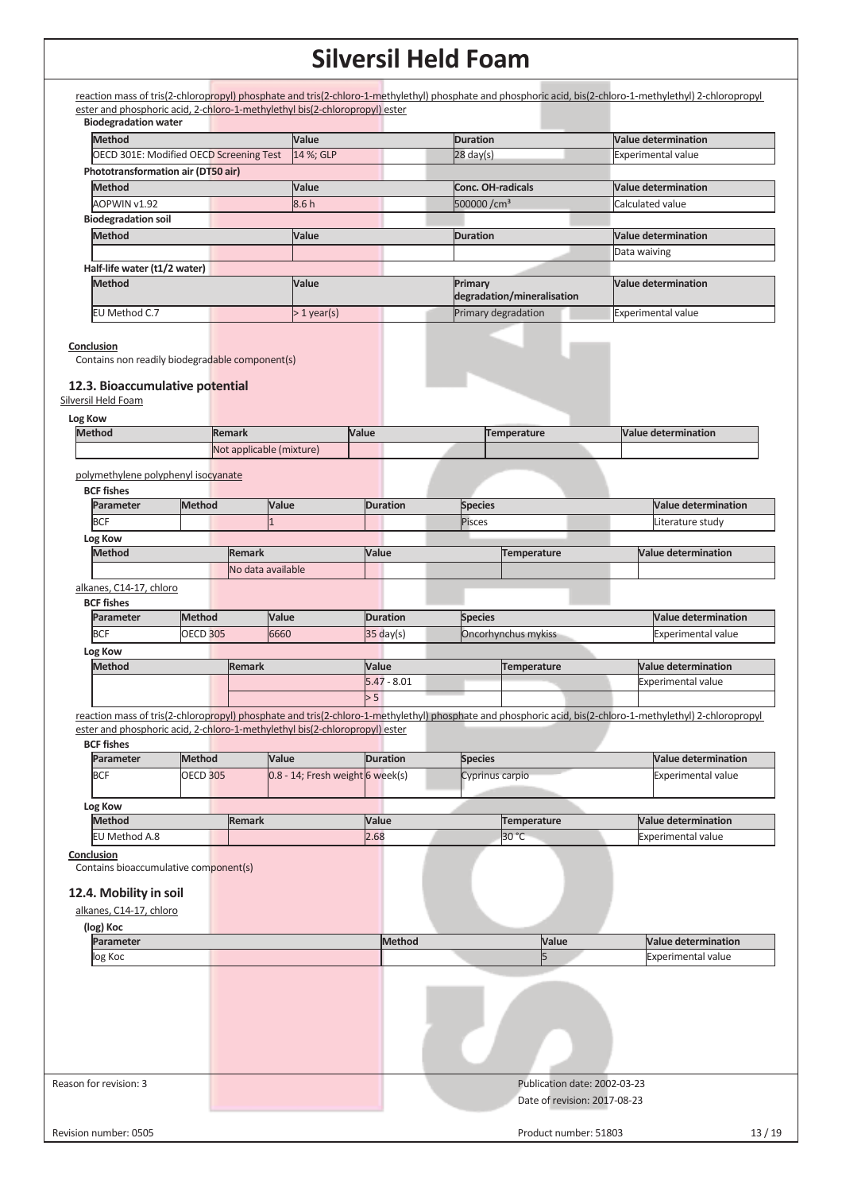| <b>Biodegradation water</b>                                                                      |                 |               |                                                                             |       |                     |                          |                              |  |                                                                                                                                                            |
|--------------------------------------------------------------------------------------------------|-----------------|---------------|-----------------------------------------------------------------------------|-------|---------------------|--------------------------|------------------------------|--|------------------------------------------------------------------------------------------------------------------------------------------------------------|
| <b>Method</b>                                                                                    |                 |               | Value                                                                       |       |                     | <b>Duration</b>          |                              |  | <b>Value determination</b>                                                                                                                                 |
| OECD 301E: Modified OECD Screening Test                                                          |                 |               | 14 %; GLP                                                                   |       |                     | $28 \text{ day(s)}$      |                              |  | <b>Experimental value</b>                                                                                                                                  |
| Phototransformation air (DT50 air)                                                               |                 |               |                                                                             |       |                     |                          |                              |  |                                                                                                                                                            |
| <b>Method</b>                                                                                    |                 |               | Value                                                                       |       |                     | <b>Conc. OH-radicals</b> |                              |  | <b>Value determination</b>                                                                                                                                 |
| AOPWIN v1.92                                                                                     |                 |               | 8.6h                                                                        |       |                     | 500000/cm <sup>3</sup>   |                              |  | Calculated value                                                                                                                                           |
| <b>Biodegradation soil</b>                                                                       |                 |               |                                                                             |       |                     |                          |                              |  |                                                                                                                                                            |
| <b>Method</b>                                                                                    |                 |               | Value                                                                       |       |                     | <b>Duration</b>          |                              |  | <b>Value determination</b>                                                                                                                                 |
|                                                                                                  |                 |               |                                                                             |       |                     |                          |                              |  | Data waiving                                                                                                                                               |
| Half-life water (t1/2 water)                                                                     |                 |               |                                                                             |       |                     |                          |                              |  |                                                                                                                                                            |
| Method                                                                                           |                 |               | Value                                                                       |       |                     | Primary                  | degradation/mineralisation   |  | Value determination                                                                                                                                        |
| EU Method C.7                                                                                    |                 |               | $>1$ year(s)                                                                |       |                     |                          | Primary degradation          |  | <b>Experimental value</b>                                                                                                                                  |
| Conclusion<br>Contains non readily biodegradable component(s)<br>12.3. Bioaccumulative potential |                 |               |                                                                             |       |                     |                          |                              |  |                                                                                                                                                            |
| Silversil Held Foam                                                                              |                 |               |                                                                             |       |                     |                          |                              |  |                                                                                                                                                            |
| Log Kow                                                                                          |                 |               |                                                                             |       |                     |                          |                              |  |                                                                                                                                                            |
| <b>Method</b>                                                                                    |                 | <b>Remark</b> |                                                                             | Value |                     |                          | Temperature                  |  | <b>Value determination</b>                                                                                                                                 |
|                                                                                                  |                 |               | Not applicable (mixture)                                                    |       |                     |                          |                              |  |                                                                                                                                                            |
| polymethylene polyphenyl isocyanate                                                              |                 |               |                                                                             |       |                     |                          |                              |  |                                                                                                                                                            |
| <b>BCF fishes</b>                                                                                |                 |               |                                                                             |       |                     |                          |                              |  |                                                                                                                                                            |
| Parameter                                                                                        | <b>Method</b>   |               | Value                                                                       |       | <b>Duration</b>     | <b>Species</b>           |                              |  | <b>Value determination</b>                                                                                                                                 |
| <b>BCF</b>                                                                                       |                 |               |                                                                             |       |                     | Pisces                   |                              |  | Literature study                                                                                                                                           |
| Log Kow                                                                                          |                 |               |                                                                             |       |                     |                          |                              |  |                                                                                                                                                            |
| <b>Method</b>                                                                                    |                 | <b>Remark</b> |                                                                             | Value |                     |                          | Temperature                  |  | <b>Value determination</b>                                                                                                                                 |
|                                                                                                  |                 |               | No data available                                                           |       |                     |                          |                              |  |                                                                                                                                                            |
| alkanes, C14-17, chloro                                                                          |                 |               |                                                                             |       |                     |                          |                              |  |                                                                                                                                                            |
| <b>BCF fishes</b>                                                                                |                 |               |                                                                             |       |                     |                          |                              |  |                                                                                                                                                            |
| Parameter                                                                                        | Method          |               | Value                                                                       |       | <b>Duration</b>     | <b>Species</b>           |                              |  | <b>Value determination</b>                                                                                                                                 |
| <b>BCF</b>                                                                                       | <b>OECD 305</b> |               | 6660                                                                        |       | $35 \text{ day}(s)$ |                          | Oncorhynchus mykiss          |  | <b>Experimental value</b>                                                                                                                                  |
| Log Kow                                                                                          |                 |               |                                                                             |       |                     |                          |                              |  |                                                                                                                                                            |
| <b>Method</b>                                                                                    |                 | <b>Remark</b> |                                                                             | Value |                     |                          | <b>Temperature</b>           |  | <b>Value determination</b>                                                                                                                                 |
|                                                                                                  |                 |               |                                                                             |       | $5.47 - 8.01$       |                          |                              |  | Experimental value                                                                                                                                         |
|                                                                                                  |                 |               |                                                                             | > 5   |                     |                          |                              |  |                                                                                                                                                            |
|                                                                                                  |                 |               |                                                                             |       |                     |                          |                              |  | reaction mass of tris(2-chloropropyl) phosphate and tris(2-chloro-1-methylethyl) phosphate and phosphoric acid, bis(2-chloro-1-methylethyl) 2-chloropropyl |
|                                                                                                  |                 |               | ester and phosphoric acid, 2-chloro-1-methylethyl bis(2-chloropropyl) ester |       |                     |                          |                              |  |                                                                                                                                                            |
| <b>BCF fishes</b>                                                                                |                 |               |                                                                             |       |                     |                          |                              |  |                                                                                                                                                            |
| Parameter                                                                                        | <b>Method</b>   |               | Value                                                                       |       | <b>Duration</b>     | <b>Species</b>           |                              |  | <b>Value determination</b>                                                                                                                                 |
| <b>BCF</b>                                                                                       | <b>OECD 305</b> |               | 0.8 - 14; Fresh weight 6 week(s)                                            |       |                     | Cyprinus carpio          |                              |  | <b>Experimental value</b>                                                                                                                                  |
|                                                                                                  |                 |               |                                                                             |       |                     |                          |                              |  |                                                                                                                                                            |
| Log Kow                                                                                          |                 |               |                                                                             |       |                     |                          |                              |  |                                                                                                                                                            |
| <b>Method</b>                                                                                    |                 | <b>Remark</b> |                                                                             | Value |                     |                          | Temperature                  |  | <b>Value determination</b>                                                                                                                                 |
| EU Method A.8                                                                                    |                 |               |                                                                             | 2.68  |                     |                          | 30 °C                        |  | <b>Experimental value</b>                                                                                                                                  |
| Conclusion<br>Contains bioaccumulative component(s)                                              |                 |               |                                                                             |       |                     |                          |                              |  |                                                                                                                                                            |
| 12.4. Mobility in soil<br>alkanes, C14-17, chloro                                                |                 |               |                                                                             |       |                     |                          |                              |  |                                                                                                                                                            |
| (log) Koc<br>Parameter                                                                           |                 |               |                                                                             |       | <b>Method</b>       |                          | Value                        |  | <b>Value determination</b>                                                                                                                                 |
| log Koc                                                                                          |                 |               |                                                                             |       |                     |                          | 5                            |  | <b>Experimental value</b>                                                                                                                                  |
|                                                                                                  |                 |               |                                                                             |       |                     |                          |                              |  |                                                                                                                                                            |
|                                                                                                  |                 |               |                                                                             |       |                     |                          |                              |  |                                                                                                                                                            |
|                                                                                                  |                 |               |                                                                             |       |                     |                          |                              |  |                                                                                                                                                            |
|                                                                                                  |                 |               |                                                                             |       |                     |                          |                              |  |                                                                                                                                                            |
| Reason for revision: 3                                                                           |                 |               |                                                                             |       |                     |                          | Publication date: 2002-03-23 |  |                                                                                                                                                            |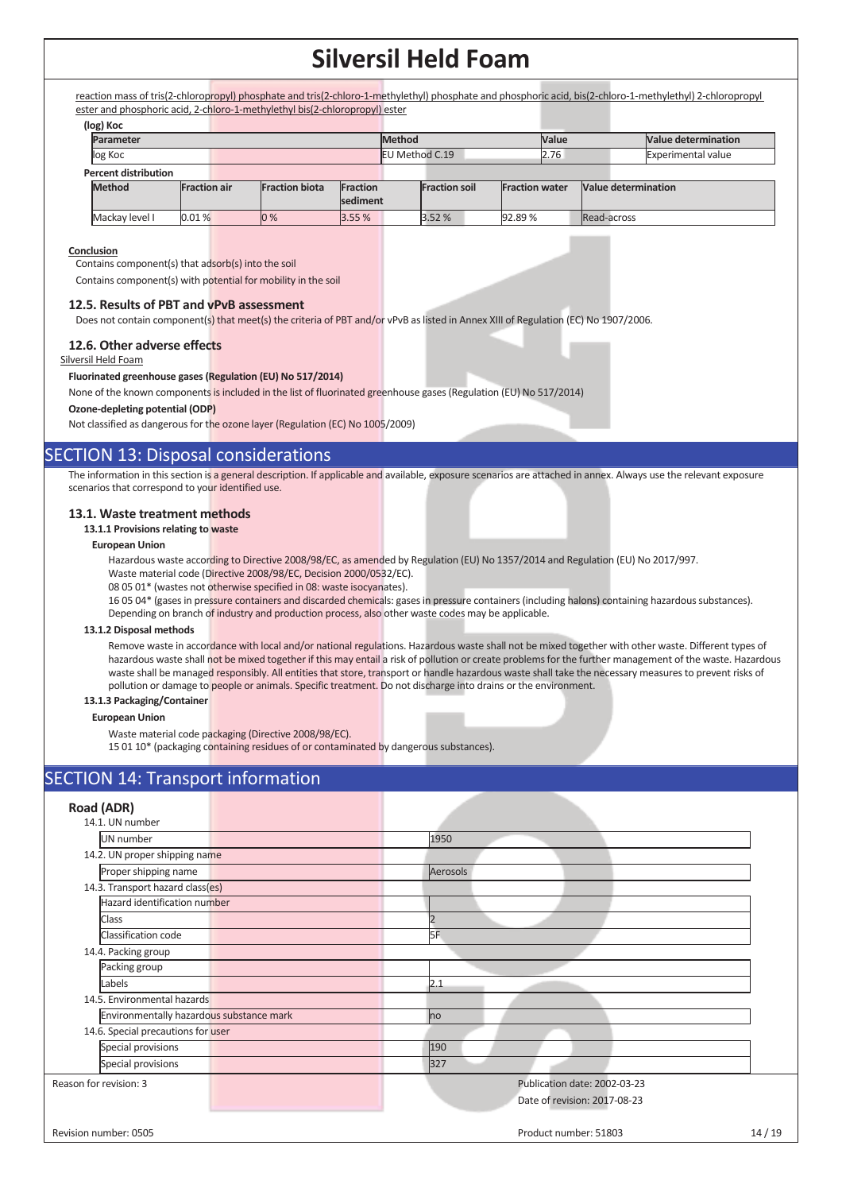reaction mass of tris(2-chloropropyl) phosphate and tris(2-chloro-1-methylethyl) phosphate and phosphoric acid, bis(2-chloro-1-methylethyl) 2-chloropropyl ester and phosphoric acid, 2-chloro-1-methylethyl bis(2-chloropropyl) ester

|                             | (log) Koc      |                     |  |                       |          |                       |                      |                       |      |                            |                           |
|-----------------------------|----------------|---------------------|--|-----------------------|----------|-----------------------|----------------------|-----------------------|------|----------------------------|---------------------------|
|                             | Parameter      |                     |  |                       | Method   |                       |                      | <b>Value</b>          |      | <b>Value determination</b> |                           |
|                             | log Koc        |                     |  |                       |          | <b>EU Method C.19</b> |                      |                       | 2.76 |                            | <b>Experimental value</b> |
| <b>Percent distribution</b> |                |                     |  |                       |          |                       |                      |                       |      |                            |                           |
|                             | <b>Method</b>  | <b>Fraction air</b> |  | <b>Fraction biota</b> | Fraction |                       | <b>Fraction soil</b> | <b>Fraction water</b> |      | Value determination        |                           |
|                             |                |                     |  |                       | sediment |                       |                      |                       |      |                            |                           |
|                             | Mackay level I | 0.01%               |  | 0%                    | 3.55%    |                       | 3.52%                | 92.89%                |      | Read-across                |                           |

#### **Conclusion**

Contains component(s) that adsorb(s) into the soil

Contains component(s) with potential for mobility in the soil

#### **12.5. Results of PBT and vPvB assessment**

Does not contain component(s) that meet(s) the criteria of PBT and/or vPvB as listed in Annex XIII of Regulation (EC) No 1907/2006.

#### **12.6. Other adverse effects**

Silversil Held Foam

#### **Fluorinated greenhouse gases (Regulation (EU) No 517/2014)**

None of the known components is included in the list of fluorinated greenhouse gases (Regulation (EU) No 517/2014)

#### **Ozone-depleting potential (ODP)**

Not classified as dangerous for the ozone layer (Regulation (EC) No 1005/2009)

### SECTION 13: Disposal considerations

The information in this section is a general description. If applicable and available, exposure scenarios are attached in annex. Always use the relevant exposure scenarios that correspond to your identified use.

#### **13.1. Waste treatment methods**

#### **13.1.1 Provisions relating to waste**

#### **European Union**

Hazardous waste according to Directive 2008/98/EC, as amended by Regulation (EU) No 1357/2014 and Regulation (EU) No 2017/997.

Waste material code (Directive 2008/98/EC, Decision 2000/0532/EC).

08 05 01\* (wastes not otherwise specified in 08: waste isocyanates).

16 05 04\* (gases in pressure containers and discarded chemicals: gases in pressure containers (including halons) containing hazardous substances). Depending on branch of industry and production process, also other waste codes may be applicable.

#### **13.1.2 Disposal methods**

Remove waste in accordance with local and/or national regulations. Hazardous waste shall not be mixed together with other waste. Different types of hazardous waste shall not be mixed together if this may entail a risk of pollution or create problems for the further management of the waste. Hazardous waste shall be managed responsibly. All entities that store, transport or handle hazardous waste shall take the necessary measures to prevent risks of pollution or damage to people or animals. Specific treatment. Do not discharge into drains or the environment.

#### **13.1.3 Packaging/Container**

#### **European Union**

Waste material code packaging (Directive 2008/98/EC).

15 01 10\* (packaging containing residues of or contaminated by dangerous substances).

### **SECTION 14: Transport information**

| Road (ADR)                               |                                                              |       |
|------------------------------------------|--------------------------------------------------------------|-------|
| 14.1. UN number                          |                                                              |       |
| UN number                                | 1950                                                         |       |
| 14.2. UN proper shipping name            |                                                              |       |
| Proper shipping name                     | Aerosols                                                     |       |
| 14.3. Transport hazard class(es)         |                                                              |       |
| Hazard identification number             |                                                              |       |
| Class                                    | 12                                                           |       |
| Classification code                      | I <sub>5F</sub>                                              |       |
| 14.4. Packing group                      |                                                              |       |
| Packing group                            |                                                              |       |
| Labels                                   | 2.1                                                          |       |
| 14.5. Environmental hazards              |                                                              |       |
| Environmentally hazardous substance mark | no                                                           |       |
| 14.6. Special precautions for user       |                                                              |       |
| Special provisions                       | 190                                                          |       |
| Special provisions                       | 327                                                          |       |
| Reason for revision: 3                   | Publication date: 2002-03-23<br>Date of revision: 2017-08-23 |       |
| Revision number: 0505                    | Product number: 51803                                        | 14/19 |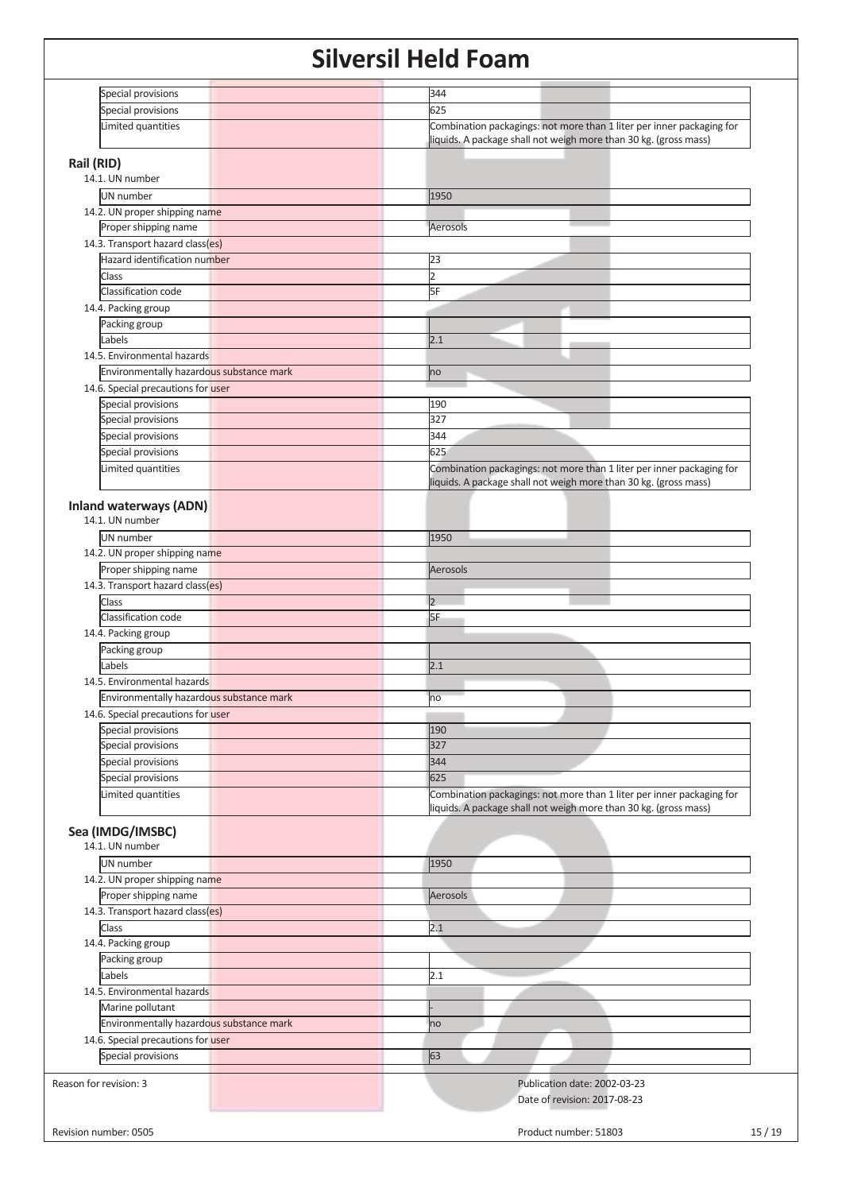| Special provisions                               | 344                                                                                                                                       |       |
|--------------------------------------------------|-------------------------------------------------------------------------------------------------------------------------------------------|-------|
| Special provisions                               | 625                                                                                                                                       |       |
| Limited quantities                               | Combination packagings: not more than 1 liter per inner packaging for<br>liquids. A package shall not weigh more than 30 kg. (gross mass) |       |
| Rail (RID)                                       |                                                                                                                                           |       |
| 14.1. UN number                                  |                                                                                                                                           |       |
| UN number                                        | 1950                                                                                                                                      |       |
| 14.2. UN proper shipping name                    |                                                                                                                                           |       |
| Proper shipping name                             | Aerosols                                                                                                                                  |       |
| 14.3. Transport hazard class(es)                 |                                                                                                                                           |       |
| Hazard identification number                     | 23                                                                                                                                        |       |
| Class                                            | $\overline{2}$                                                                                                                            |       |
| Classification code                              | 5F                                                                                                                                        |       |
| 14.4. Packing group                              |                                                                                                                                           |       |
| Packing group                                    |                                                                                                                                           |       |
| Labels                                           | 2.1                                                                                                                                       |       |
| 14.5. Environmental hazards                      |                                                                                                                                           |       |
|                                                  |                                                                                                                                           |       |
| Environmentally hazardous substance mark         | no                                                                                                                                        |       |
| 14.6. Special precautions for user               |                                                                                                                                           |       |
| Special provisions                               | 190                                                                                                                                       |       |
| Special provisions                               | 327                                                                                                                                       |       |
| Special provisions                               | 344                                                                                                                                       |       |
| Special provisions                               | 625                                                                                                                                       |       |
| Limited quantities                               | Combination packagings: not more than 1 liter per inner packaging for<br>liquids. A package shall not weigh more than 30 kg. (gross mass) |       |
|                                                  |                                                                                                                                           |       |
| <b>Inland waterways (ADN)</b><br>14.1. UN number |                                                                                                                                           |       |
|                                                  |                                                                                                                                           |       |
| <b>UN</b> number                                 | 1950                                                                                                                                      |       |
| 14.2. UN proper shipping name                    |                                                                                                                                           |       |
| Proper shipping name                             | Aerosols                                                                                                                                  |       |
| 14.3. Transport hazard class(es)                 |                                                                                                                                           |       |
| Class                                            | $\overline{2}$                                                                                                                            |       |
| Classification code                              | 5F                                                                                                                                        |       |
| 14.4. Packing group                              |                                                                                                                                           |       |
| Packing group                                    |                                                                                                                                           |       |
| Labels                                           | 2.1                                                                                                                                       |       |
| 14.5. Environmental hazards                      |                                                                                                                                           |       |
| Environmentally hazardous substance mark         | no                                                                                                                                        |       |
| 14.6. Special precautions for user               |                                                                                                                                           |       |
| Special provisions                               | 190                                                                                                                                       |       |
| Special provisions                               | 327                                                                                                                                       |       |
| Special provisions                               | 344                                                                                                                                       |       |
| Special provisions                               | 625                                                                                                                                       |       |
| Limited quantities                               | Combination packagings: not more than 1 liter per inner packaging for                                                                     |       |
|                                                  | liquids. A package shall not weigh more than 30 kg. (gross mass)                                                                          |       |
| Sea (IMDG/IMSBC)                                 |                                                                                                                                           |       |
| 14.1. UN number                                  |                                                                                                                                           |       |
| <b>UN</b> number                                 | 1950                                                                                                                                      |       |
| 14.2. UN proper shipping name                    |                                                                                                                                           |       |
| Proper shipping name                             | Aerosols                                                                                                                                  |       |
| 14.3. Transport hazard class(es)                 |                                                                                                                                           |       |
| Class                                            | 2.1                                                                                                                                       |       |
| 14.4. Packing group                              |                                                                                                                                           |       |
|                                                  |                                                                                                                                           |       |
| Packing group                                    |                                                                                                                                           |       |
| Labels                                           | 2.1                                                                                                                                       |       |
| 14.5. Environmental hazards                      |                                                                                                                                           |       |
| Marine pollutant                                 |                                                                                                                                           |       |
| Environmentally hazardous substance mark         | no                                                                                                                                        |       |
| 14.6. Special precautions for user               |                                                                                                                                           |       |
| Special provisions                               | 63                                                                                                                                        |       |
|                                                  |                                                                                                                                           |       |
| Reason for revision: 3                           | Publication date: 2002-03-23                                                                                                              |       |
|                                                  | Date of revision: 2017-08-23                                                                                                              |       |
|                                                  |                                                                                                                                           |       |
| Revision number: 0505                            | Product number: 51803                                                                                                                     | 15/19 |
|                                                  |                                                                                                                                           |       |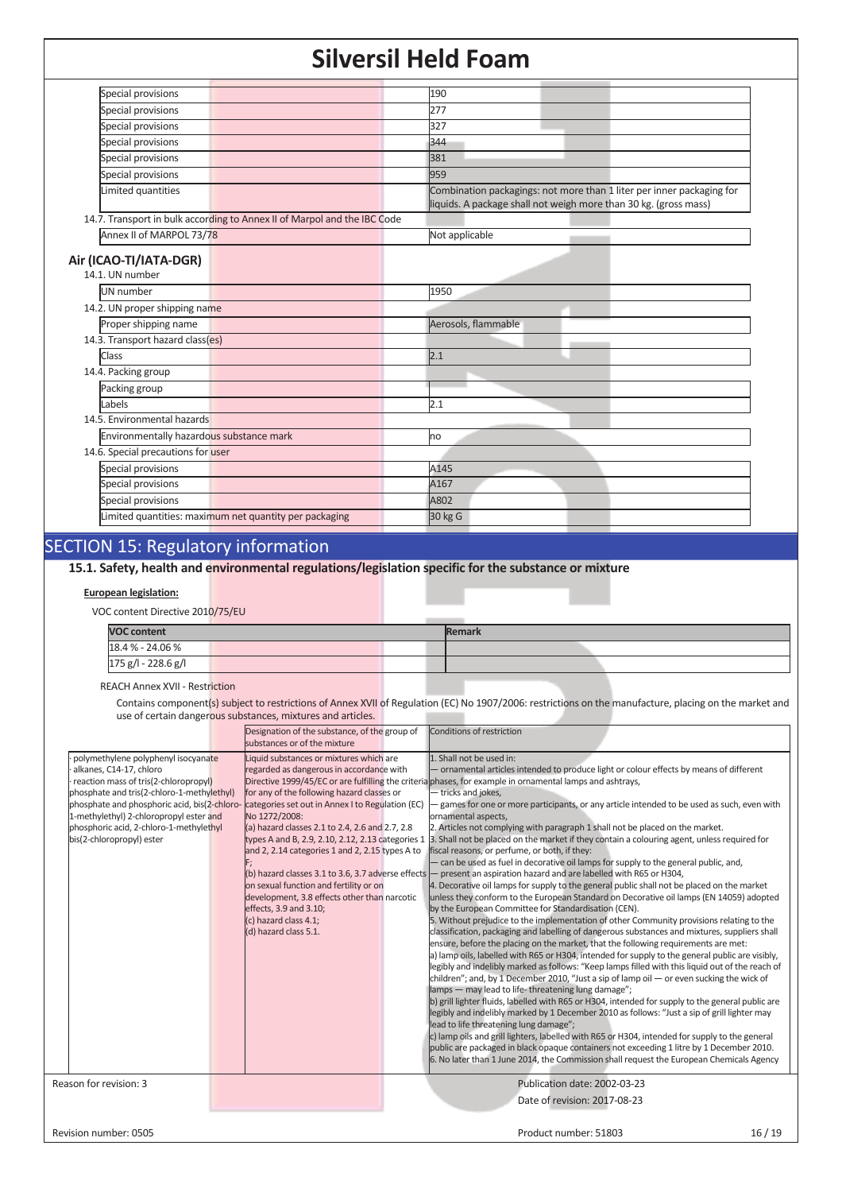| Special provisions                                                       | 190                                                                                                                                       |
|--------------------------------------------------------------------------|-------------------------------------------------------------------------------------------------------------------------------------------|
| Special provisions                                                       | 277                                                                                                                                       |
| Special provisions                                                       | 327                                                                                                                                       |
| Special provisions                                                       | 344                                                                                                                                       |
| Special provisions                                                       | 381                                                                                                                                       |
| Special provisions                                                       | 959                                                                                                                                       |
| Limited quantities                                                       | Combination packagings: not more than 1 liter per inner packaging for<br>liquids. A package shall not weigh more than 30 kg. (gross mass) |
| 14.7. Transport in bulk according to Annex II of Marpol and the IBC Code |                                                                                                                                           |
| Annex II of MARPOL 73/78                                                 | Not applicable                                                                                                                            |
|                                                                          |                                                                                                                                           |
| Air (ICAO-TI/IATA-DGR)<br>14.1. UN number                                |                                                                                                                                           |
| <b>UN</b> number                                                         | 1950                                                                                                                                      |
| 14.2. UN proper shipping name                                            |                                                                                                                                           |
| Proper shipping name                                                     | Aerosols, flammable                                                                                                                       |
| 14.3. Transport hazard class(es)                                         |                                                                                                                                           |
| <b>Class</b>                                                             | 2.1                                                                                                                                       |
| 14.4. Packing group                                                      |                                                                                                                                           |
| Packing group                                                            |                                                                                                                                           |
| Labels                                                                   | 2.1                                                                                                                                       |
| 14.5. Environmental hazards                                              |                                                                                                                                           |
| Environmentally hazardous substance mark                                 | no                                                                                                                                        |
| 14.6. Special precautions for user                                       |                                                                                                                                           |
| Special provisions                                                       | A145                                                                                                                                      |
| Special provisions                                                       | A167                                                                                                                                      |
| Special provisions                                                       | A802                                                                                                                                      |
| Limited quantities: maximum net quantity per packaging                   | 30 kg G                                                                                                                                   |
|                                                                          |                                                                                                                                           |

## SECTION 15: Regulatory information

### **15.1. Safety, health and environmental regulations/legislation specific for the substance or mixture**

#### **European legislation:**

VOC content Directive 2010/75/EU

| <b>VOC content</b>  |  |  | <b>Remark</b> |  |
|---------------------|--|--|---------------|--|
| 18.4 % - 24.06 %    |  |  |               |  |
| 175 g/l - 228.6 g/l |  |  |               |  |

#### REACH Annex XVII - Restriction

Contains component(s) subject to restrictions of Annex XVII of Regulation (EC) No 1907/2006: restrictions on the manufacture, placing on the market and use of certain dangerous substances, mixtures and articles.

|                                                                                                                                                                                                                                                                                                                          | Designation of the substance, of the group of<br>substances or of the mixture                                                                                                                                                                                                                                                                                                                                                                                                                                                                                                                 | Conditions of restriction                                                                                                                                                                                                                                                                                                                                                                                                                                                                                                                                                                                                                                                                                                                                                                                                                                                                                                                                                                                                                                                                                                                                                                                                                                                                                                                                                                                                                                                                                                                                                                                                                                                                                                                                                                                                                                                                                                                                                                                                                                                                                                                                                                                          |
|--------------------------------------------------------------------------------------------------------------------------------------------------------------------------------------------------------------------------------------------------------------------------------------------------------------------------|-----------------------------------------------------------------------------------------------------------------------------------------------------------------------------------------------------------------------------------------------------------------------------------------------------------------------------------------------------------------------------------------------------------------------------------------------------------------------------------------------------------------------------------------------------------------------------------------------|--------------------------------------------------------------------------------------------------------------------------------------------------------------------------------------------------------------------------------------------------------------------------------------------------------------------------------------------------------------------------------------------------------------------------------------------------------------------------------------------------------------------------------------------------------------------------------------------------------------------------------------------------------------------------------------------------------------------------------------------------------------------------------------------------------------------------------------------------------------------------------------------------------------------------------------------------------------------------------------------------------------------------------------------------------------------------------------------------------------------------------------------------------------------------------------------------------------------------------------------------------------------------------------------------------------------------------------------------------------------------------------------------------------------------------------------------------------------------------------------------------------------------------------------------------------------------------------------------------------------------------------------------------------------------------------------------------------------------------------------------------------------------------------------------------------------------------------------------------------------------------------------------------------------------------------------------------------------------------------------------------------------------------------------------------------------------------------------------------------------------------------------------------------------------------------------------------------------|
| polymethylene polyphenyl isocyanate<br>alkanes, C14-17, chloro<br>reaction mass of tris(2-chloropropyl)<br>phosphate and tris(2-chloro-1-methylethyl)<br>phosphate and phosphoric acid, bis(2-chloro-<br>1-methylethyl) 2-chloropropyl ester and<br>phosphoric acid, 2-chloro-1-methylethyl<br>bis(2-chloropropyl) ester | Liquid substances or mixtures which are<br>regarded as dangerous in accordance with<br>for any of the following hazard classes or<br>categories set out in Annex I to Regulation (EC)<br>No 1272/2008:<br>(a) hazard classes 2.1 to 2.4, 2.6 and 2.7, 2.8<br>types A and B, 2.9, 2.10, 2.12, 2.13 categories 1<br>and 2, 2.14 categories 1 and 2, 2.15 types A to<br>(b) hazard classes 3.1 to 3.6, 3.7 adverse effects<br>on sexual function and fertility or on<br>development, 3.8 effects other than narcotic<br>effects, 3.9 and 3.10;<br>(c) hazard class 4.1;<br>(d) hazard class 5.1. | 1. Shall not be used in:<br>- ornamental articles intended to produce light or colour effects by means of different<br>Directive 1999/45/EC or are fulfilling the criteria phases, for example in ornamental lamps and ashtrays,<br>- tricks and jokes,<br>games for one or more participants, or any article intended to be used as such, even with<br>ornamental aspects,<br>2. Articles not complying with paragraph 1 shall not be placed on the market.<br>3. Shall not be placed on the market if they contain a colouring agent, unless required for<br>fiscal reasons, or perfume, or both, if they:<br>- can be used as fuel in decorative oil lamps for supply to the general public, and,<br>- present an aspiration hazard and are labelled with R65 or H304,<br>4. Decorative oil lamps for supply to the general public shall not be placed on the market<br>unless they conform to the European Standard on Decorative oil lamps (EN 14059) adopted<br>by the European Committee for Standardisation (CEN).<br>5. Without prejudice to the implementation of other Community provisions relating to the<br>classification, packaging and labelling of dangerous substances and mixtures, suppliers shall<br>ensure, before the placing on the market, that the following requirements are met:<br>a) lamp oils, labelled with R65 or H304, intended for supply to the general public are visibly,<br>legibly and indelibly marked as follows: "Keep lamps filled with this liquid out of the reach of<br>children"; and, by 1 December 2010, "Just a sip of lamp oil $-$ or even sucking the wick of<br>lamps - may lead to life-threatening lung damage";<br>b) grill lighter fluids, labelled with R65 or H304, intended for supply to the general public are<br>legibly and indelibly marked by 1 December 2010 as follows: "Just a sip of grill lighter may<br>lead to life threatening lung damage";<br>c) lamp oils and grill lighters, labelled with R65 or H304, intended for supply to the general<br>public are packaged in black opaque containers not exceeding 1 litre by 1 December 2010.<br>6. No later than 1 June 2014, the Commission shall request the European Chemicals Agency |
| Reason for revision: 3                                                                                                                                                                                                                                                                                                   |                                                                                                                                                                                                                                                                                                                                                                                                                                                                                                                                                                                               | Publication date: 2002-03-23<br>Date of revision: 2017-08-23                                                                                                                                                                                                                                                                                                                                                                                                                                                                                                                                                                                                                                                                                                                                                                                                                                                                                                                                                                                                                                                                                                                                                                                                                                                                                                                                                                                                                                                                                                                                                                                                                                                                                                                                                                                                                                                                                                                                                                                                                                                                                                                                                       |
| Revision number: 0505                                                                                                                                                                                                                                                                                                    |                                                                                                                                                                                                                                                                                                                                                                                                                                                                                                                                                                                               | Product number: 51803<br>16/19                                                                                                                                                                                                                                                                                                                                                                                                                                                                                                                                                                                                                                                                                                                                                                                                                                                                                                                                                                                                                                                                                                                                                                                                                                                                                                                                                                                                                                                                                                                                                                                                                                                                                                                                                                                                                                                                                                                                                                                                                                                                                                                                                                                     |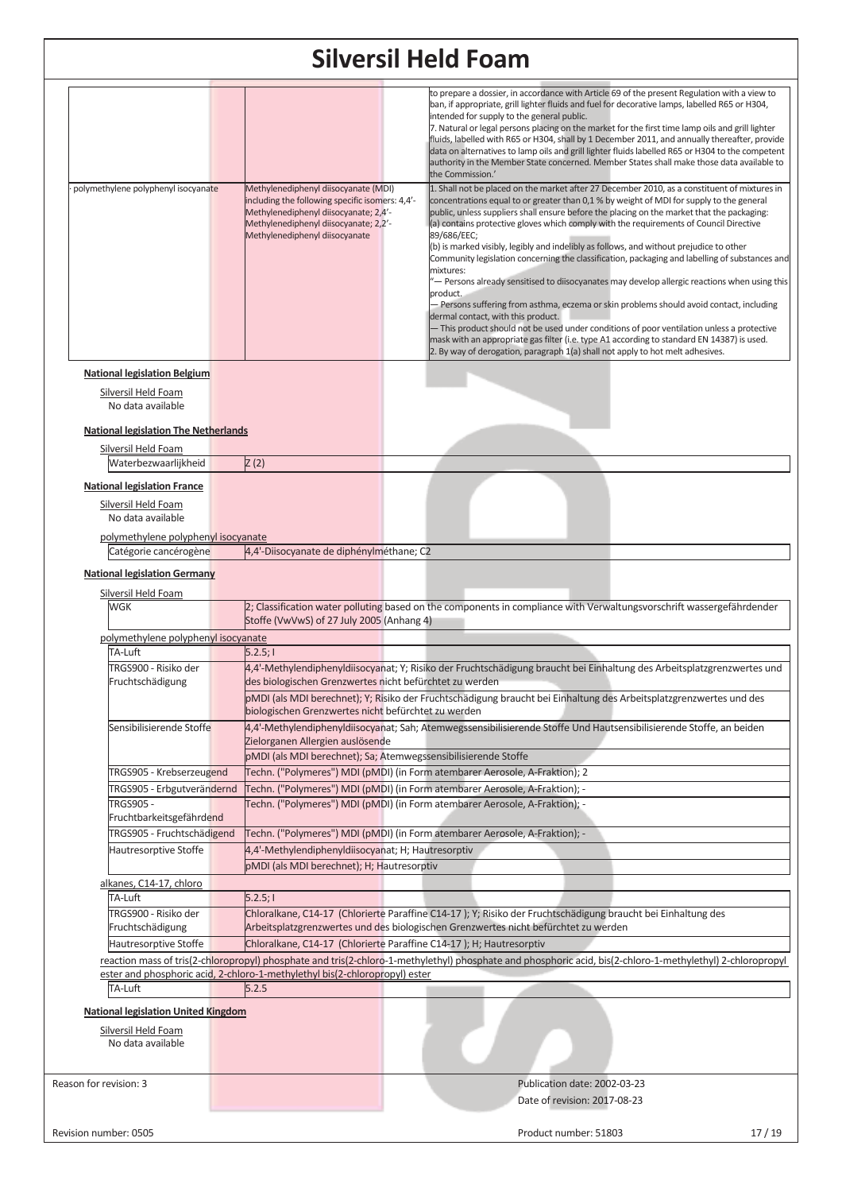| polymethylene polyphenyl isocyanate                                                                                            | Methylenediphenyl diisocyanate (MDI)<br>including the following specific isomers: 4,4'-<br>Methylenediphenyl diisocyanate; 2,4'-<br>Methylenediphenyl diisocyanate; 2,2'-<br>Methylenediphenyl diisocyanate | to prepare a dossier, in accordance with Article 69 of the present Regulation with a view to<br>ban, if appropriate, grill lighter fluids and fuel for decorative lamps, labelled R65 or H304,<br>intended for supply to the general public.<br>7. Natural or legal persons placing on the market for the first time lamp oils and grill lighter<br>fluids, labelled with R65 or H304, shall by 1 December 2011, and annually thereafter, provide<br>data on alternatives to lamp oils and grill lighter fluids labelled R65 or H304 to the competent<br>authority in the Member State concerned. Member States shall make those data available to<br>the Commission.'<br>1. Shall not be placed on the market after 27 December 2010, as a constituent of mixtures in<br>concentrations equal to or greater than 0,1 % by weight of MDI for supply to the general<br>public, unless suppliers shall ensure before the placing on the market that the packaging:<br>(a) contains protective gloves which comply with the requirements of Council Directive<br>89/686/EEC;<br>(b) is marked visibly, legibly and indelibly as follows, and without prejudice to other<br>Community legislation concerning the classification, packaging and labelling of substances and<br>mixtures:<br>'— Persons already sensitised to diisocyanates may develop allergic reactions when using this<br>product.<br>– Persons suffering from asthma, eczema or skin problems should avoid contact, including<br>dermal contact, with this product.<br>- This product should not be used under conditions of poor ventilation unless a protective<br>mask with an appropriate gas filter (i.e. type A1 according to standard EN 14387) is used.<br>2. By way of derogation, paragraph 1(a) shall not apply to hot melt adhesives. |  |
|--------------------------------------------------------------------------------------------------------------------------------|-------------------------------------------------------------------------------------------------------------------------------------------------------------------------------------------------------------|------------------------------------------------------------------------------------------------------------------------------------------------------------------------------------------------------------------------------------------------------------------------------------------------------------------------------------------------------------------------------------------------------------------------------------------------------------------------------------------------------------------------------------------------------------------------------------------------------------------------------------------------------------------------------------------------------------------------------------------------------------------------------------------------------------------------------------------------------------------------------------------------------------------------------------------------------------------------------------------------------------------------------------------------------------------------------------------------------------------------------------------------------------------------------------------------------------------------------------------------------------------------------------------------------------------------------------------------------------------------------------------------------------------------------------------------------------------------------------------------------------------------------------------------------------------------------------------------------------------------------------------------------------------------------------------------------------------------------------------------------------------------------------------------------------------|--|
|                                                                                                                                |                                                                                                                                                                                                             |                                                                                                                                                                                                                                                                                                                                                                                                                                                                                                                                                                                                                                                                                                                                                                                                                                                                                                                                                                                                                                                                                                                                                                                                                                                                                                                                                                                                                                                                                                                                                                                                                                                                                                                                                                                                                  |  |
| <b>National legislation Belgium</b><br>Silversil Held Foam<br>No data available<br><b>National legislation The Netherlands</b> |                                                                                                                                                                                                             |                                                                                                                                                                                                                                                                                                                                                                                                                                                                                                                                                                                                                                                                                                                                                                                                                                                                                                                                                                                                                                                                                                                                                                                                                                                                                                                                                                                                                                                                                                                                                                                                                                                                                                                                                                                                                  |  |
| Silversil Held Foam                                                                                                            |                                                                                                                                                                                                             |                                                                                                                                                                                                                                                                                                                                                                                                                                                                                                                                                                                                                                                                                                                                                                                                                                                                                                                                                                                                                                                                                                                                                                                                                                                                                                                                                                                                                                                                                                                                                                                                                                                                                                                                                                                                                  |  |
| Waterbezwaarlijkheid                                                                                                           | Z(2)                                                                                                                                                                                                        |                                                                                                                                                                                                                                                                                                                                                                                                                                                                                                                                                                                                                                                                                                                                                                                                                                                                                                                                                                                                                                                                                                                                                                                                                                                                                                                                                                                                                                                                                                                                                                                                                                                                                                                                                                                                                  |  |
| <b>National legislation France</b><br>Silversil Held Foam<br>No data available                                                 |                                                                                                                                                                                                             |                                                                                                                                                                                                                                                                                                                                                                                                                                                                                                                                                                                                                                                                                                                                                                                                                                                                                                                                                                                                                                                                                                                                                                                                                                                                                                                                                                                                                                                                                                                                                                                                                                                                                                                                                                                                                  |  |
| polymethylene polyphenyl isocyanate                                                                                            |                                                                                                                                                                                                             |                                                                                                                                                                                                                                                                                                                                                                                                                                                                                                                                                                                                                                                                                                                                                                                                                                                                                                                                                                                                                                                                                                                                                                                                                                                                                                                                                                                                                                                                                                                                                                                                                                                                                                                                                                                                                  |  |
| Catégorie cancérogène                                                                                                          | 4,4'-Diisocyanate de diphénylméthane; C2                                                                                                                                                                    |                                                                                                                                                                                                                                                                                                                                                                                                                                                                                                                                                                                                                                                                                                                                                                                                                                                                                                                                                                                                                                                                                                                                                                                                                                                                                                                                                                                                                                                                                                                                                                                                                                                                                                                                                                                                                  |  |
| <b>National legislation Germany</b>                                                                                            |                                                                                                                                                                                                             |                                                                                                                                                                                                                                                                                                                                                                                                                                                                                                                                                                                                                                                                                                                                                                                                                                                                                                                                                                                                                                                                                                                                                                                                                                                                                                                                                                                                                                                                                                                                                                                                                                                                                                                                                                                                                  |  |
|                                                                                                                                |                                                                                                                                                                                                             |                                                                                                                                                                                                                                                                                                                                                                                                                                                                                                                                                                                                                                                                                                                                                                                                                                                                                                                                                                                                                                                                                                                                                                                                                                                                                                                                                                                                                                                                                                                                                                                                                                                                                                                                                                                                                  |  |
| Silversil Held Foam                                                                                                            |                                                                                                                                                                                                             |                                                                                                                                                                                                                                                                                                                                                                                                                                                                                                                                                                                                                                                                                                                                                                                                                                                                                                                                                                                                                                                                                                                                                                                                                                                                                                                                                                                                                                                                                                                                                                                                                                                                                                                                                                                                                  |  |
| WGK                                                                                                                            |                                                                                                                                                                                                             | 2; Classification water polluting based on the components in compliance with Verwaltungsvorschrift wassergefährdender                                                                                                                                                                                                                                                                                                                                                                                                                                                                                                                                                                                                                                                                                                                                                                                                                                                                                                                                                                                                                                                                                                                                                                                                                                                                                                                                                                                                                                                                                                                                                                                                                                                                                            |  |
|                                                                                                                                | Stoffe (VwVwS) of 27 July 2005 (Anhang 4)                                                                                                                                                                   |                                                                                                                                                                                                                                                                                                                                                                                                                                                                                                                                                                                                                                                                                                                                                                                                                                                                                                                                                                                                                                                                                                                                                                                                                                                                                                                                                                                                                                                                                                                                                                                                                                                                                                                                                                                                                  |  |
| polymethylene polyphenyl isocyanate                                                                                            |                                                                                                                                                                                                             |                                                                                                                                                                                                                                                                                                                                                                                                                                                                                                                                                                                                                                                                                                                                                                                                                                                                                                                                                                                                                                                                                                                                                                                                                                                                                                                                                                                                                                                                                                                                                                                                                                                                                                                                                                                                                  |  |
| TA-Luft                                                                                                                        | 5.2.5;                                                                                                                                                                                                      |                                                                                                                                                                                                                                                                                                                                                                                                                                                                                                                                                                                                                                                                                                                                                                                                                                                                                                                                                                                                                                                                                                                                                                                                                                                                                                                                                                                                                                                                                                                                                                                                                                                                                                                                                                                                                  |  |
| TRGS900 - Risiko der                                                                                                           |                                                                                                                                                                                                             | 4,4'-Methylendiphenyldiisocyanat; Y; Risiko der Fruchtschädigung braucht bei Einhaltung des Arbeitsplatzgrenzwertes und                                                                                                                                                                                                                                                                                                                                                                                                                                                                                                                                                                                                                                                                                                                                                                                                                                                                                                                                                                                                                                                                                                                                                                                                                                                                                                                                                                                                                                                                                                                                                                                                                                                                                          |  |
| Fruchtschädigung                                                                                                               | des biologischen Grenzwertes nicht befürchtet zu werden                                                                                                                                                     | pMDI (als MDI berechnet); Y; Risiko der Fruchtschädigung braucht bei Einhaltung des Arbeitsplatzgrenzwertes und des                                                                                                                                                                                                                                                                                                                                                                                                                                                                                                                                                                                                                                                                                                                                                                                                                                                                                                                                                                                                                                                                                                                                                                                                                                                                                                                                                                                                                                                                                                                                                                                                                                                                                              |  |
|                                                                                                                                | biologischen Grenzwertes nicht befürchtet zu werden                                                                                                                                                         |                                                                                                                                                                                                                                                                                                                                                                                                                                                                                                                                                                                                                                                                                                                                                                                                                                                                                                                                                                                                                                                                                                                                                                                                                                                                                                                                                                                                                                                                                                                                                                                                                                                                                                                                                                                                                  |  |
| Sensibilisierende Stoffe                                                                                                       |                                                                                                                                                                                                             | 4,4'-Methylendiphenyldiisocyanat; Sah; Atemwegssensibilisierende Stoffe Und Hautsensibilisierende Stoffe, an beiden                                                                                                                                                                                                                                                                                                                                                                                                                                                                                                                                                                                                                                                                                                                                                                                                                                                                                                                                                                                                                                                                                                                                                                                                                                                                                                                                                                                                                                                                                                                                                                                                                                                                                              |  |
|                                                                                                                                | Zielorganen Allergien auslösende                                                                                                                                                                            |                                                                                                                                                                                                                                                                                                                                                                                                                                                                                                                                                                                                                                                                                                                                                                                                                                                                                                                                                                                                                                                                                                                                                                                                                                                                                                                                                                                                                                                                                                                                                                                                                                                                                                                                                                                                                  |  |
|                                                                                                                                | pMDI (als MDI berechnet); Sa; Atemwegssensibilisierende Stoffe                                                                                                                                              |                                                                                                                                                                                                                                                                                                                                                                                                                                                                                                                                                                                                                                                                                                                                                                                                                                                                                                                                                                                                                                                                                                                                                                                                                                                                                                                                                                                                                                                                                                                                                                                                                                                                                                                                                                                                                  |  |
| TRGS905 - Krebserzeugend                                                                                                       |                                                                                                                                                                                                             | Techn. ("Polymeres") MDI (pMDI) (in Form atembarer Aerosole, A-Fraktion); 2                                                                                                                                                                                                                                                                                                                                                                                                                                                                                                                                                                                                                                                                                                                                                                                                                                                                                                                                                                                                                                                                                                                                                                                                                                                                                                                                                                                                                                                                                                                                                                                                                                                                                                                                      |  |
| TRGS905 - Erbgutverändernd                                                                                                     |                                                                                                                                                                                                             | Techn. ("Polymeres") MDI (pMDI) (in Form atembarer Aerosole, A-Fraktion); -                                                                                                                                                                                                                                                                                                                                                                                                                                                                                                                                                                                                                                                                                                                                                                                                                                                                                                                                                                                                                                                                                                                                                                                                                                                                                                                                                                                                                                                                                                                                                                                                                                                                                                                                      |  |
| <b>TRGS905 -</b>                                                                                                               |                                                                                                                                                                                                             | Techn. ("Polymeres") MDI (pMDI) (in Form atembarer Aerosole, A-Fraktion); -                                                                                                                                                                                                                                                                                                                                                                                                                                                                                                                                                                                                                                                                                                                                                                                                                                                                                                                                                                                                                                                                                                                                                                                                                                                                                                                                                                                                                                                                                                                                                                                                                                                                                                                                      |  |
| Fruchtbarkeitsgefährdend                                                                                                       |                                                                                                                                                                                                             |                                                                                                                                                                                                                                                                                                                                                                                                                                                                                                                                                                                                                                                                                                                                                                                                                                                                                                                                                                                                                                                                                                                                                                                                                                                                                                                                                                                                                                                                                                                                                                                                                                                                                                                                                                                                                  |  |
| TRGS905 - Fruchtschädigend                                                                                                     |                                                                                                                                                                                                             | Techn. ("Polymeres") MDI (pMDI) (in Form atembarer Aerosole, A-Fraktion); -                                                                                                                                                                                                                                                                                                                                                                                                                                                                                                                                                                                                                                                                                                                                                                                                                                                                                                                                                                                                                                                                                                                                                                                                                                                                                                                                                                                                                                                                                                                                                                                                                                                                                                                                      |  |
| Hautresorptive Stoffe                                                                                                          | 4,4'-Methylendiphenyldiisocyanat; H; Hautresorptiv                                                                                                                                                          |                                                                                                                                                                                                                                                                                                                                                                                                                                                                                                                                                                                                                                                                                                                                                                                                                                                                                                                                                                                                                                                                                                                                                                                                                                                                                                                                                                                                                                                                                                                                                                                                                                                                                                                                                                                                                  |  |
|                                                                                                                                |                                                                                                                                                                                                             |                                                                                                                                                                                                                                                                                                                                                                                                                                                                                                                                                                                                                                                                                                                                                                                                                                                                                                                                                                                                                                                                                                                                                                                                                                                                                                                                                                                                                                                                                                                                                                                                                                                                                                                                                                                                                  |  |
|                                                                                                                                | pMDI (als MDI berechnet); H; Hautresorptiv                                                                                                                                                                  |                                                                                                                                                                                                                                                                                                                                                                                                                                                                                                                                                                                                                                                                                                                                                                                                                                                                                                                                                                                                                                                                                                                                                                                                                                                                                                                                                                                                                                                                                                                                                                                                                                                                                                                                                                                                                  |  |
| alkanes, C14-17, chloro                                                                                                        |                                                                                                                                                                                                             |                                                                                                                                                                                                                                                                                                                                                                                                                                                                                                                                                                                                                                                                                                                                                                                                                                                                                                                                                                                                                                                                                                                                                                                                                                                                                                                                                                                                                                                                                                                                                                                                                                                                                                                                                                                                                  |  |
| TA-Luft                                                                                                                        | 5.2.5;                                                                                                                                                                                                      |                                                                                                                                                                                                                                                                                                                                                                                                                                                                                                                                                                                                                                                                                                                                                                                                                                                                                                                                                                                                                                                                                                                                                                                                                                                                                                                                                                                                                                                                                                                                                                                                                                                                                                                                                                                                                  |  |
| TRGS900 - Risiko der                                                                                                           |                                                                                                                                                                                                             | Chloralkane, C14-17 (Chlorierte Paraffine C14-17); Y; Risiko der Fruchtschädigung braucht bei Einhaltung des                                                                                                                                                                                                                                                                                                                                                                                                                                                                                                                                                                                                                                                                                                                                                                                                                                                                                                                                                                                                                                                                                                                                                                                                                                                                                                                                                                                                                                                                                                                                                                                                                                                                                                     |  |
| Fruchtschädigung                                                                                                               |                                                                                                                                                                                                             | Arbeitsplatzgrenzwertes und des biologischen Grenzwertes nicht befürchtet zu werden                                                                                                                                                                                                                                                                                                                                                                                                                                                                                                                                                                                                                                                                                                                                                                                                                                                                                                                                                                                                                                                                                                                                                                                                                                                                                                                                                                                                                                                                                                                                                                                                                                                                                                                              |  |
| Hautresorptive Stoffe                                                                                                          | Chloralkane, C14-17 (Chlorierte Paraffine C14-17); H; Hautresorptiv                                                                                                                                         |                                                                                                                                                                                                                                                                                                                                                                                                                                                                                                                                                                                                                                                                                                                                                                                                                                                                                                                                                                                                                                                                                                                                                                                                                                                                                                                                                                                                                                                                                                                                                                                                                                                                                                                                                                                                                  |  |
|                                                                                                                                |                                                                                                                                                                                                             | reaction mass of tris(2-chloropropyl) phosphate and tris(2-chloro-1-methylethyl) phosphate and phosphoric acid, bis(2-chloro-1-methylethyl) 2-chloropropyl                                                                                                                                                                                                                                                                                                                                                                                                                                                                                                                                                                                                                                                                                                                                                                                                                                                                                                                                                                                                                                                                                                                                                                                                                                                                                                                                                                                                                                                                                                                                                                                                                                                       |  |
|                                                                                                                                | ester and phosphoric acid, 2-chloro-1-methylethyl bis(2-chloropropyl) ester                                                                                                                                 |                                                                                                                                                                                                                                                                                                                                                                                                                                                                                                                                                                                                                                                                                                                                                                                                                                                                                                                                                                                                                                                                                                                                                                                                                                                                                                                                                                                                                                                                                                                                                                                                                                                                                                                                                                                                                  |  |
| TA-Luft                                                                                                                        | 5.2.5                                                                                                                                                                                                       |                                                                                                                                                                                                                                                                                                                                                                                                                                                                                                                                                                                                                                                                                                                                                                                                                                                                                                                                                                                                                                                                                                                                                                                                                                                                                                                                                                                                                                                                                                                                                                                                                                                                                                                                                                                                                  |  |
|                                                                                                                                |                                                                                                                                                                                                             |                                                                                                                                                                                                                                                                                                                                                                                                                                                                                                                                                                                                                                                                                                                                                                                                                                                                                                                                                                                                                                                                                                                                                                                                                                                                                                                                                                                                                                                                                                                                                                                                                                                                                                                                                                                                                  |  |
| <b>National legislation United Kingdom</b>                                                                                     |                                                                                                                                                                                                             |                                                                                                                                                                                                                                                                                                                                                                                                                                                                                                                                                                                                                                                                                                                                                                                                                                                                                                                                                                                                                                                                                                                                                                                                                                                                                                                                                                                                                                                                                                                                                                                                                                                                                                                                                                                                                  |  |
| Silversil Held Foam                                                                                                            |                                                                                                                                                                                                             |                                                                                                                                                                                                                                                                                                                                                                                                                                                                                                                                                                                                                                                                                                                                                                                                                                                                                                                                                                                                                                                                                                                                                                                                                                                                                                                                                                                                                                                                                                                                                                                                                                                                                                                                                                                                                  |  |
| No data available                                                                                                              |                                                                                                                                                                                                             |                                                                                                                                                                                                                                                                                                                                                                                                                                                                                                                                                                                                                                                                                                                                                                                                                                                                                                                                                                                                                                                                                                                                                                                                                                                                                                                                                                                                                                                                                                                                                                                                                                                                                                                                                                                                                  |  |
|                                                                                                                                |                                                                                                                                                                                                             |                                                                                                                                                                                                                                                                                                                                                                                                                                                                                                                                                                                                                                                                                                                                                                                                                                                                                                                                                                                                                                                                                                                                                                                                                                                                                                                                                                                                                                                                                                                                                                                                                                                                                                                                                                                                                  |  |
|                                                                                                                                |                                                                                                                                                                                                             |                                                                                                                                                                                                                                                                                                                                                                                                                                                                                                                                                                                                                                                                                                                                                                                                                                                                                                                                                                                                                                                                                                                                                                                                                                                                                                                                                                                                                                                                                                                                                                                                                                                                                                                                                                                                                  |  |
| Reason for revision: 3                                                                                                         |                                                                                                                                                                                                             | Publication date: 2002-03-23                                                                                                                                                                                                                                                                                                                                                                                                                                                                                                                                                                                                                                                                                                                                                                                                                                                                                                                                                                                                                                                                                                                                                                                                                                                                                                                                                                                                                                                                                                                                                                                                                                                                                                                                                                                     |  |
|                                                                                                                                |                                                                                                                                                                                                             | Date of revision: 2017-08-23                                                                                                                                                                                                                                                                                                                                                                                                                                                                                                                                                                                                                                                                                                                                                                                                                                                                                                                                                                                                                                                                                                                                                                                                                                                                                                                                                                                                                                                                                                                                                                                                                                                                                                                                                                                     |  |
|                                                                                                                                |                                                                                                                                                                                                             |                                                                                                                                                                                                                                                                                                                                                                                                                                                                                                                                                                                                                                                                                                                                                                                                                                                                                                                                                                                                                                                                                                                                                                                                                                                                                                                                                                                                                                                                                                                                                                                                                                                                                                                                                                                                                  |  |
| Revision number: 0505                                                                                                          |                                                                                                                                                                                                             | Product number: 51803<br>17/19                                                                                                                                                                                                                                                                                                                                                                                                                                                                                                                                                                                                                                                                                                                                                                                                                                                                                                                                                                                                                                                                                                                                                                                                                                                                                                                                                                                                                                                                                                                                                                                                                                                                                                                                                                                   |  |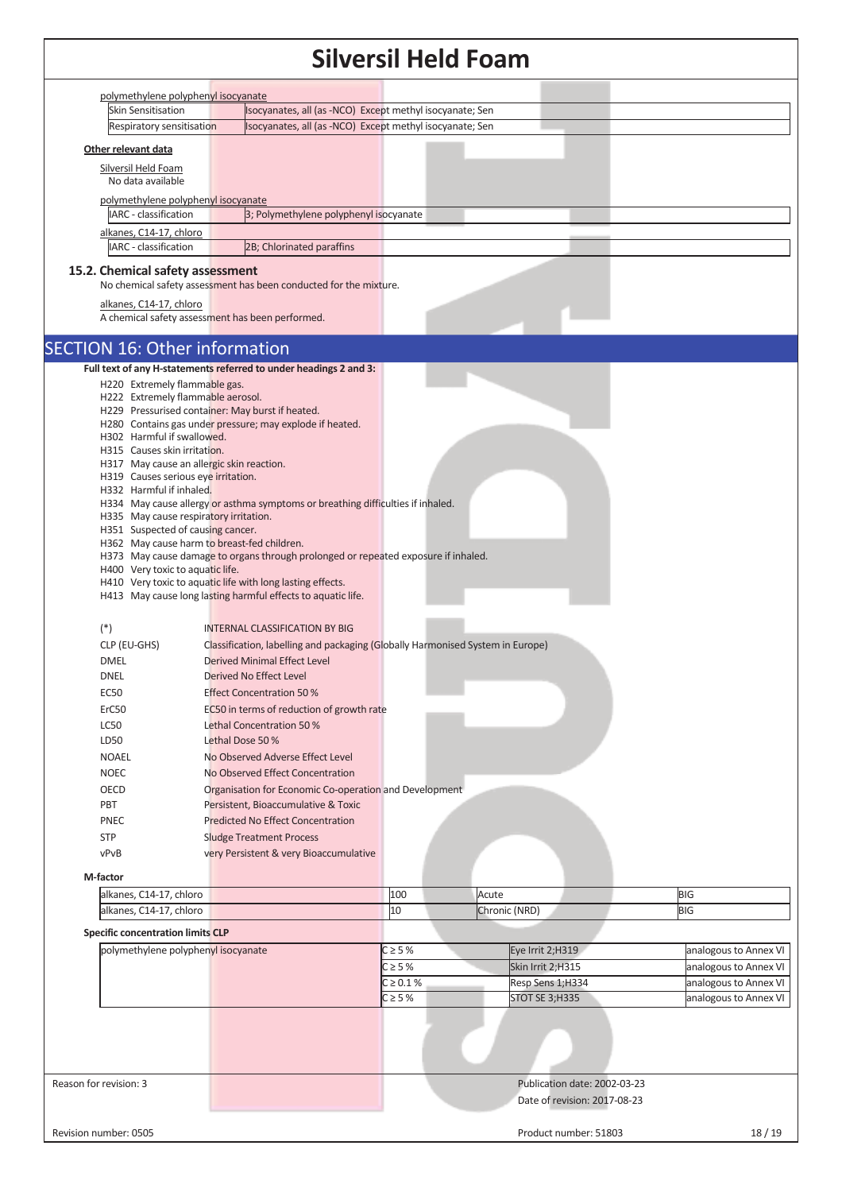|                                           |                                                                                    | Siiversii Heid Foam           |                                    |                                                |
|-------------------------------------------|------------------------------------------------------------------------------------|-------------------------------|------------------------------------|------------------------------------------------|
| polymethylene polyphenyl isocyanate       |                                                                                    |                               |                                    |                                                |
| <b>Skin Sensitisation</b>                 | Isocyanates, all (as -NCO) Except methyl isocyanate; Sen                           |                               |                                    |                                                |
| Respiratory sensitisation                 | Isocyanates, all (as -NCO) Except methyl isocyanate; Sen                           |                               |                                    |                                                |
| Other relevant data                       |                                                                                    |                               |                                    |                                                |
| Silversil Held Foam                       |                                                                                    |                               |                                    |                                                |
| No data available                         |                                                                                    |                               |                                    |                                                |
| polymethylene polyphenyl isocyanate       |                                                                                    |                               |                                    |                                                |
| IARC - classification                     | 3; Polymethylene polyphenyl isocyanate                                             |                               |                                    |                                                |
| alkanes, C14-17, chloro                   |                                                                                    |                               |                                    |                                                |
| IARC - classification                     | 2B; Chlorinated paraffins                                                          |                               |                                    |                                                |
| 15.2. Chemical safety assessment          |                                                                                    |                               |                                    |                                                |
|                                           | No chemical safety assessment has been conducted for the mixture.                  |                               |                                    |                                                |
| alkanes, C14-17, chloro                   |                                                                                    |                               |                                    |                                                |
|                                           | A chemical safety assessment has been performed.                                   |                               |                                    |                                                |
| <b>SECTION 16: Other information</b>      |                                                                                    |                               |                                    |                                                |
|                                           | Full text of any H-statements referred to under headings 2 and 3:                  |                               |                                    |                                                |
| H220 Extremely flammable gas.             |                                                                                    |                               |                                    |                                                |
| H222 Extremely flammable aerosol.         |                                                                                    |                               |                                    |                                                |
|                                           | H229 Pressurised container: May burst if heated.                                   |                               |                                    |                                                |
| H302 Harmful if swallowed.                | H280 Contains gas under pressure; may explode if heated.                           |                               |                                    |                                                |
| H315 Causes skin irritation.              |                                                                                    |                               |                                    |                                                |
| H317 May cause an allergic skin reaction. |                                                                                    |                               |                                    |                                                |
| H319 Causes serious eye irritation.       |                                                                                    |                               |                                    |                                                |
| H332 Harmful if inhaled.                  | H334 May cause allergy or asthma symptoms or breathing difficulties if inhaled.    |                               |                                    |                                                |
| H335 May cause respiratory irritation.    |                                                                                    |                               |                                    |                                                |
| H351 Suspected of causing cancer.         |                                                                                    |                               |                                    |                                                |
|                                           | H362 May cause harm to breast-fed children.                                        |                               |                                    |                                                |
| H400 Very toxic to aquatic life.          | H373 May cause damage to organs through prolonged or repeated exposure if inhaled. |                               |                                    |                                                |
|                                           | H410 Very toxic to aquatic life with long lasting effects.                         |                               |                                    |                                                |
|                                           | H413 May cause long lasting harmful effects to aquatic life.                       |                               |                                    |                                                |
|                                           |                                                                                    |                               |                                    |                                                |
| $(*)$                                     | <b>INTERNAL CLASSIFICATION BY BIG</b>                                              |                               |                                    |                                                |
| CLP (EU-GHS)                              | Classification, labelling and packaging (Globally Harmonised System in Europe)     |                               |                                    |                                                |
| <b>DMEL</b>                               | Derived Minimal Effect Level                                                       |                               |                                    |                                                |
| <b>DNEL</b>                               | Derived No Effect Level                                                            |                               |                                    |                                                |
| <b>EC50</b>                               | <b>Effect Concentration 50 %</b>                                                   |                               |                                    |                                                |
| ErC50                                     | EC50 in terms of reduction of growth rate                                          |                               |                                    |                                                |
| <b>LC50</b>                               | Lethal Concentration 50 %                                                          |                               |                                    |                                                |
| LD50                                      | Lethal Dose 50%                                                                    |                               |                                    |                                                |
| <b>NOAEL</b>                              | No Observed Adverse Effect Level                                                   |                               |                                    |                                                |
| <b>NOEC</b>                               | No Observed Effect Concentration                                                   |                               |                                    |                                                |
| OECD                                      | Organisation for Economic Co-operation and Development                             |                               |                                    |                                                |
| PBT                                       | Persistent, Bioaccumulative & Toxic                                                |                               |                                    |                                                |
| <b>PNEC</b>                               | <b>Predicted No Effect Concentration</b>                                           |                               |                                    |                                                |
| <b>STP</b>                                | <b>Sludge Treatment Process</b>                                                    |                               |                                    |                                                |
| vPvB                                      | very Persistent & very Bioaccumulative                                             |                               |                                    |                                                |
| M-factor                                  |                                                                                    |                               |                                    |                                                |
| alkanes, C14-17, chloro                   |                                                                                    | 100                           | Acute                              | <b>BIG</b>                                     |
| alkanes, C14-17, chloro                   |                                                                                    | 10                            | Chronic (NRD)                      | <b>BIG</b>                                     |
| <b>Specific concentration limits CLP</b>  |                                                                                    |                               |                                    |                                                |
| polymethylene polyphenyl isocyanate       |                                                                                    | $C \geq 5%$<br>$C \geq 5%$    | Eye Irrit 2;H319                   | analogous to Annex VI                          |
|                                           |                                                                                    |                               | Skin Irrit 2;H315                  | analogous to Annex VI                          |
|                                           |                                                                                    | $C \ge 0.1 \%$<br>$C \geq 5%$ | Resp Sens 1;H334<br>STOT SE 3;H335 | analogous to Annex VI<br>analogous to Annex VI |
|                                           |                                                                                    |                               |                                    |                                                |
|                                           |                                                                                    |                               |                                    |                                                |
|                                           |                                                                                    |                               |                                    |                                                |
|                                           |                                                                                    |                               |                                    |                                                |
| Reason for revision: 3                    |                                                                                    |                               | Publication date: 2002-03-23       |                                                |
|                                           |                                                                                    |                               | Date of revision: 2017-08-23       |                                                |
|                                           |                                                                                    |                               |                                    |                                                |
| Revision number: 0505                     |                                                                                    |                               | Product number: 51803              | 18/19                                          |